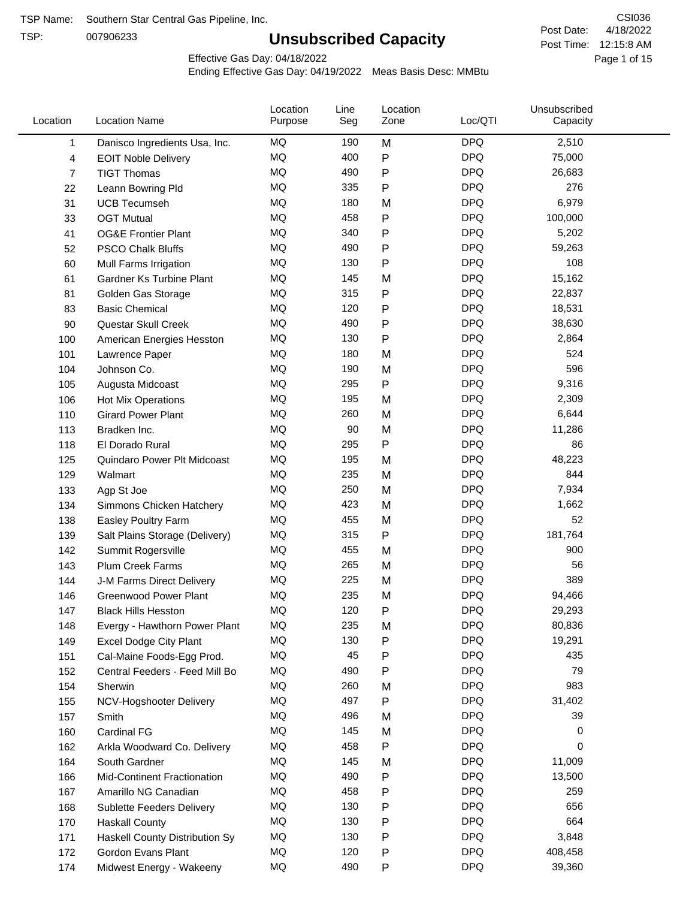TSP:

## **Unsubscribed Capacity**

4/18/2022 Page 1 of 15 Post Time: 12:15:8 AM CSI036 Post Date:

Effective Gas Day: 04/18/2022

| Location | <b>Location Name</b>             | Location<br>Purpose | Line<br>Seg | Location<br>Zone | Loc/QTI    | Unsubscribed<br>Capacity |  |
|----------|----------------------------------|---------------------|-------------|------------------|------------|--------------------------|--|
| 1        | Danisco Ingredients Usa, Inc.    | MQ                  | 190         | M                | <b>DPQ</b> | 2,510                    |  |
| 4        | <b>EOIT Noble Delivery</b>       | MQ                  | 400         | P                | <b>DPQ</b> | 75,000                   |  |
| 7        | <b>TIGT Thomas</b>               | <b>MQ</b>           | 490         | P                | <b>DPQ</b> | 26,683                   |  |
| 22       | Leann Bowring Pld                | <b>MQ</b>           | 335         | P                | <b>DPQ</b> | 276                      |  |
| 31       | <b>UCB Tecumseh</b>              | <b>MQ</b>           | 180         | M                | <b>DPQ</b> | 6,979                    |  |
| 33       | <b>OGT Mutual</b>                | MQ                  | 458         | P                | <b>DPQ</b> | 100,000                  |  |
| 41       | <b>OG&amp;E Frontier Plant</b>   | MQ                  | 340         | P                | <b>DPQ</b> | 5,202                    |  |
| 52       | <b>PSCO Chalk Bluffs</b>         | MQ                  | 490         | P                | <b>DPQ</b> | 59,263                   |  |
| 60       | Mull Farms Irrigation            | <b>MQ</b>           | 130         | P                | <b>DPQ</b> | 108                      |  |
| 61       | <b>Gardner Ks Turbine Plant</b>  | MQ                  | 145         | M                | <b>DPQ</b> | 15,162                   |  |
| 81       | Golden Gas Storage               | <b>MQ</b>           | 315         | P                | <b>DPQ</b> | 22,837                   |  |
| 83       | <b>Basic Chemical</b>            | <b>MQ</b>           | 120         | P                | <b>DPQ</b> | 18,531                   |  |
| 90       | Questar Skull Creek              | <b>MQ</b>           | 490         | P                | <b>DPQ</b> | 38,630                   |  |
| 100      | American Energies Hesston        | MQ                  | 130         | Ρ                | <b>DPQ</b> | 2,864                    |  |
| 101      | Lawrence Paper                   | MQ                  | 180         | M                | <b>DPQ</b> | 524                      |  |
| 104      | Johnson Co.                      | MQ                  | 190         | M                | <b>DPQ</b> | 596                      |  |
| 105      | Augusta Midcoast                 | <b>MQ</b>           | 295         | P                | <b>DPQ</b> | 9,316                    |  |
| 106      | <b>Hot Mix Operations</b>        | MQ                  | 195         | M                | <b>DPQ</b> | 2,309                    |  |
| 110      | <b>Girard Power Plant</b>        | MQ                  | 260         | M                | <b>DPQ</b> | 6,644                    |  |
| 113      | Bradken Inc.                     | <b>MQ</b>           | 90          | M                | <b>DPQ</b> | 11,286                   |  |
| 118      | El Dorado Rural                  | MQ                  | 295         | P                | <b>DPQ</b> | 86                       |  |
| 125      | Quindaro Power Plt Midcoast      | <b>MQ</b>           | 195         | M                | <b>DPQ</b> | 48,223                   |  |
| 129      | Walmart                          | <b>MQ</b>           | 235         | M                | <b>DPQ</b> | 844                      |  |
| 133      | Agp St Joe                       | MQ                  | 250         | M                | <b>DPQ</b> | 7,934                    |  |
| 134      | Simmons Chicken Hatchery         | <b>MQ</b>           | 423         | M                | <b>DPQ</b> | 1,662                    |  |
| 138      | Easley Poultry Farm              | MQ                  | 455         | M                | <b>DPQ</b> | 52                       |  |
| 139      | Salt Plains Storage (Delivery)   | <b>MQ</b>           | 315         | P                | <b>DPQ</b> | 181,764                  |  |
| 142      | Summit Rogersville               | MQ                  | 455         | M                | <b>DPQ</b> | 900                      |  |
| 143      | Plum Creek Farms                 | MQ                  | 265         | M                | <b>DPQ</b> | 56                       |  |
| 144      | J-M Farms Direct Delivery        | MQ                  | 225         | M                | <b>DPQ</b> | 389                      |  |
| 146      | <b>Greenwood Power Plant</b>     | MQ                  | 235         | M                | <b>DPQ</b> | 94,466                   |  |
| 147      | <b>Black Hills Hesston</b>       | MQ                  | 120         | Ρ                | <b>DPQ</b> | 29,293                   |  |
| 148      | Evergy - Hawthorn Power Plant    | MQ                  | 235         | M                | <b>DPQ</b> | 80,836                   |  |
| 149      | <b>Excel Dodge City Plant</b>    | MQ                  | 130         | P                | <b>DPQ</b> | 19,291                   |  |
| 151      | Cal-Maine Foods-Egg Prod.        | MQ                  | 45          | Ρ                | <b>DPQ</b> | 435                      |  |
| 152      | Central Feeders - Feed Mill Bo   | MQ                  | 490         | P                | <b>DPQ</b> | 79                       |  |
| 154      | Sherwin                          | MQ                  | 260         | M                | <b>DPQ</b> | 983                      |  |
| 155      | NCV-Hogshooter Delivery          | MQ                  | 497         | P                | <b>DPQ</b> | 31,402                   |  |
| 157      | Smith                            | MQ                  | 496         | M                | <b>DPQ</b> | 39                       |  |
| 160      | Cardinal FG                      | MQ                  | 145         | M                | <b>DPQ</b> | 0                        |  |
| 162      | Arkla Woodward Co. Delivery      | MQ                  | 458         | P                | <b>DPQ</b> | 0                        |  |
| 164      | South Gardner                    | MQ                  | 145         | M                | <b>DPQ</b> | 11,009                   |  |
| 166      | Mid-Continent Fractionation      | MQ                  | 490         | P                | <b>DPQ</b> | 13,500                   |  |
| 167      | Amarillo NG Canadian             | MQ                  | 458         | Ρ                | <b>DPQ</b> | 259                      |  |
| 168      | <b>Sublette Feeders Delivery</b> | MQ                  | 130         | P                | <b>DPQ</b> | 656                      |  |
| 170      | <b>Haskall County</b>            | MQ                  | 130         | P                | <b>DPQ</b> | 664                      |  |
| 171      | Haskell County Distribution Sy   | MQ                  | 130         | Ρ                | <b>DPQ</b> | 3,848                    |  |
| 172      | Gordon Evans Plant               | MQ                  | 120         | Ρ                | <b>DPQ</b> | 408,458                  |  |
| 174      | Midwest Energy - Wakeeny         | MQ                  | 490         | P                | <b>DPQ</b> | 39,360                   |  |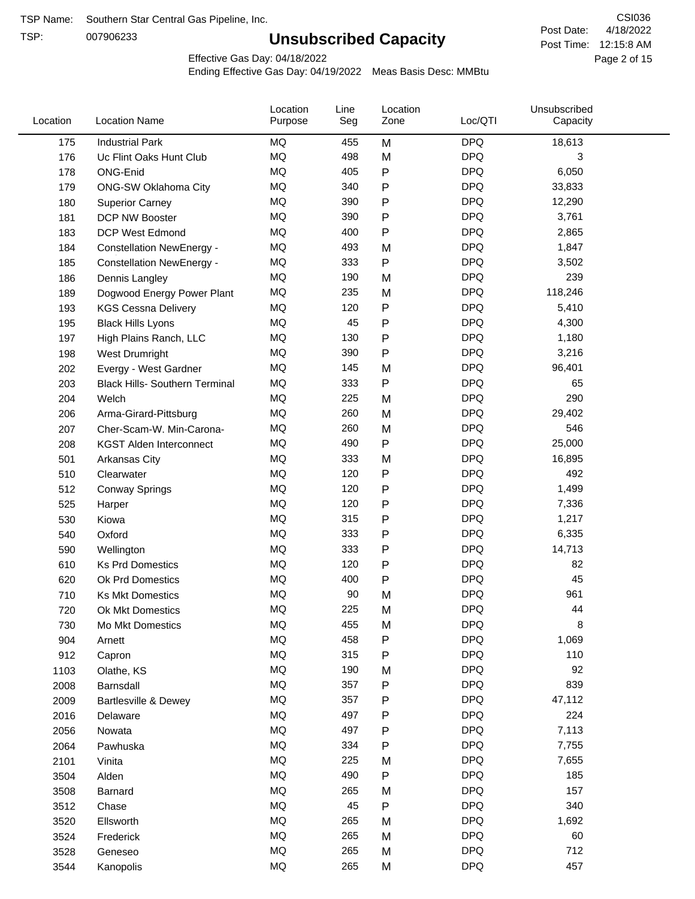TSP:

## **Unsubscribed Capacity**

4/18/2022 Page 2 of 15 Post Time: 12:15:8 AM CSI036 Post Date:

Effective Gas Day: 04/18/2022

| Location | <b>Location Name</b>                  | Location<br>Purpose | Line<br>Seg | Location<br>Zone | Loc/QTI    | Unsubscribed<br>Capacity |  |
|----------|---------------------------------------|---------------------|-------------|------------------|------------|--------------------------|--|
| 175      | <b>Industrial Park</b>                | MQ                  | 455         | M                | <b>DPQ</b> | 18,613                   |  |
| 176      | Uc Flint Oaks Hunt Club               | MQ                  | 498         | M                | <b>DPQ</b> | 3                        |  |
| 178      | ONG-Enid                              | MQ                  | 405         | P                | <b>DPQ</b> | 6,050                    |  |
| 179      | <b>ONG-SW Oklahoma City</b>           | MQ                  | 340         | P                | <b>DPQ</b> | 33,833                   |  |
| 180      | <b>Superior Carney</b>                | MQ                  | 390         | P                | <b>DPQ</b> | 12,290                   |  |
| 181      | <b>DCP NW Booster</b>                 | <b>MQ</b>           | 390         | P                | <b>DPQ</b> | 3,761                    |  |
| 183      | <b>DCP West Edmond</b>                | <b>MQ</b>           | 400         | ${\sf P}$        | <b>DPQ</b> | 2,865                    |  |
| 184      | <b>Constellation NewEnergy -</b>      | MQ                  | 493         | M                | <b>DPQ</b> | 1,847                    |  |
| 185      | <b>Constellation NewEnergy -</b>      | MQ                  | 333         | P                | <b>DPQ</b> | 3,502                    |  |
| 186      | Dennis Langley                        | MQ                  | 190         | M                | <b>DPQ</b> | 239                      |  |
| 189      | Dogwood Energy Power Plant            | MQ                  | 235         | M                | <b>DPQ</b> | 118,246                  |  |
| 193      | <b>KGS Cessna Delivery</b>            | MQ                  | 120         | P                | <b>DPQ</b> | 5,410                    |  |
| 195      | <b>Black Hills Lyons</b>              | MQ                  | 45          | P                | <b>DPQ</b> | 4,300                    |  |
| 197      | High Plains Ranch, LLC                | <b>MQ</b>           | 130         | P                | <b>DPQ</b> | 1,180                    |  |
| 198      | West Drumright                        | <b>MQ</b>           | 390         | P                | <b>DPQ</b> | 3,216                    |  |
| 202      | Evergy - West Gardner                 | <b>MQ</b>           | 145         | M                | <b>DPQ</b> | 96,401                   |  |
| 203      | <b>Black Hills- Southern Terminal</b> | MQ                  | 333         | P                | <b>DPQ</b> | 65                       |  |
| 204      | Welch                                 | MQ                  | 225         | M                | <b>DPQ</b> | 290                      |  |
| 206      | Arma-Girard-Pittsburg                 | MQ                  | 260         | M                | <b>DPQ</b> | 29,402                   |  |
| 207      | Cher-Scam-W. Min-Carona-              | MQ                  | 260         | M                | <b>DPQ</b> | 546                      |  |
| 208      | <b>KGST Alden Interconnect</b>        | MQ                  | 490         | P                | <b>DPQ</b> | 25,000                   |  |
| 501      | <b>Arkansas City</b>                  | MQ                  | 333         | M                | <b>DPQ</b> | 16,895                   |  |
| 510      | Clearwater                            | <b>MQ</b>           | 120         | P                | <b>DPQ</b> | 492                      |  |
| 512      | <b>Conway Springs</b>                 | <b>MQ</b>           | 120         | P                | <b>DPQ</b> | 1,499                    |  |
| 525      | Harper                                | <b>MQ</b>           | 120         | P                | <b>DPQ</b> | 7,336                    |  |
| 530      | Kiowa                                 | MQ                  | 315         | P                | <b>DPQ</b> | 1,217                    |  |
| 540      | Oxford                                | MQ                  | 333         | P                | <b>DPQ</b> | 6,335                    |  |
| 590      | Wellington                            | <b>MQ</b>           | 333         | P                | <b>DPQ</b> | 14,713                   |  |
| 610      | <b>Ks Prd Domestics</b>               | <b>MQ</b>           | 120         | P                | <b>DPQ</b> | 82                       |  |
| 620      | Ok Prd Domestics                      | MQ                  | 400         | P                | <b>DPQ</b> | 45                       |  |
| 710      | <b>Ks Mkt Domestics</b>               | <b>MQ</b>           | 90          | M                | <b>DPQ</b> | 961                      |  |
| 720      | Ok Mkt Domestics                      | MQ                  | 225         | M                | <b>DPQ</b> | 44                       |  |
| 730      | Mo Mkt Domestics                      | MQ                  | 455         | M                | <b>DPQ</b> | 8                        |  |
| 904      | Arnett                                | $\sf{MQ}$           | 458         | ${\sf P}$        | <b>DPQ</b> | 1,069                    |  |
| 912      | Capron                                | $\sf{MQ}$           | 315         | P                | <b>DPQ</b> | 110                      |  |
| 1103     | Olathe, KS                            | $\sf{MQ}$           | 190         | M                | <b>DPQ</b> | 92                       |  |
| 2008     | Barnsdall                             | MQ                  | 357         | P                | <b>DPQ</b> | 839                      |  |
| 2009     | Bartlesville & Dewey                  | MQ                  | 357         | P                | <b>DPQ</b> | 47,112                   |  |
| 2016     | Delaware                              | MQ                  | 497         | P                | <b>DPQ</b> | 224                      |  |
| 2056     | Nowata                                | $\sf{MQ}$           | 497         | P                | <b>DPQ</b> | 7,113                    |  |
| 2064     | Pawhuska                              | MQ                  | 334         | Ρ                | <b>DPQ</b> | 7,755                    |  |
| 2101     | Vinita                                | MQ                  | 225         | M                | <b>DPQ</b> | 7,655                    |  |
| 3504     | Alden                                 | MQ                  | 490         | P                | <b>DPQ</b> | 185                      |  |
| 3508     | Barnard                               | MQ                  | 265         | M                | <b>DPQ</b> | 157                      |  |
| 3512     | Chase                                 | <b>MQ</b>           | 45          | P                | <b>DPQ</b> | 340                      |  |
| 3520     | Ellsworth                             | MQ                  | 265         | M                | <b>DPQ</b> | 1,692                    |  |
| 3524     | Frederick                             | MQ                  | 265         | M                | <b>DPQ</b> | 60                       |  |
| 3528     | Geneseo                               | MQ                  | 265         | M                | <b>DPQ</b> | 712                      |  |
| 3544     | Kanopolis                             | $\sf{MQ}$           | 265         | M                | <b>DPQ</b> | 457                      |  |
|          |                                       |                     |             |                  |            |                          |  |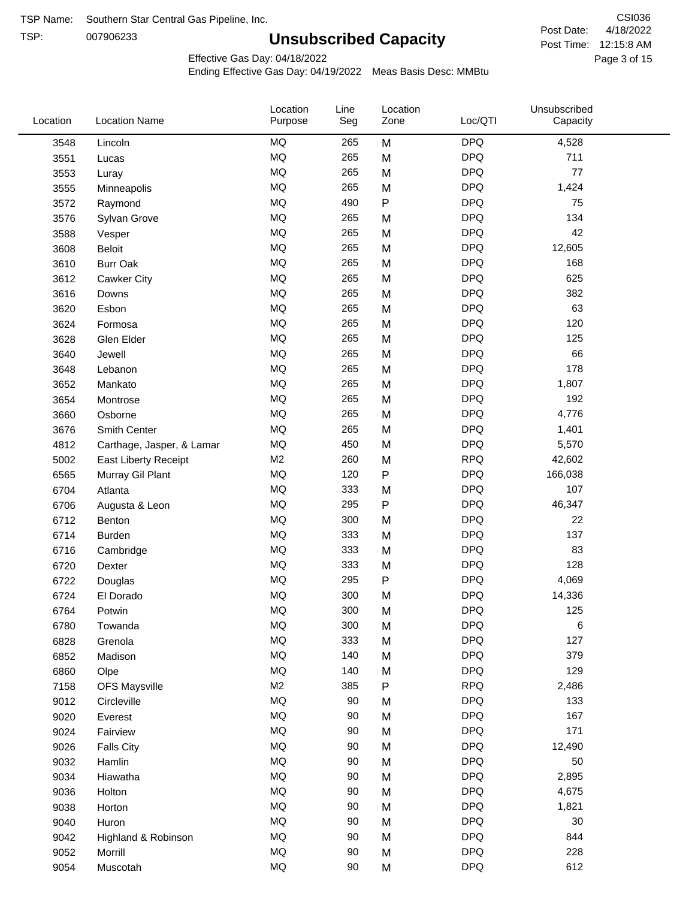TSP: 

# **Unsubscribed Capacity**

4/18/2022 Page 3 of 15 Post Time: 12:15:8 AM CSI036 Post Date:

Effective Gas Day: 04/18/2022

| Location | <b>Location Name</b>      | Location<br>Purpose | Line<br>Seg | Location<br>Zone | Loc/QTI    | Unsubscribed<br>Capacity |  |
|----------|---------------------------|---------------------|-------------|------------------|------------|--------------------------|--|
| 3548     | Lincoln                   | <b>MQ</b>           | 265         | M                | <b>DPQ</b> | 4,528                    |  |
| 3551     | Lucas                     | <b>MQ</b>           | 265         | M                | <b>DPQ</b> | 711                      |  |
| 3553     | Luray                     | <b>MQ</b>           | 265         | M                | <b>DPQ</b> | 77                       |  |
| 3555     | Minneapolis               | <b>MQ</b>           | 265         | M                | <b>DPQ</b> | 1,424                    |  |
| 3572     | Raymond                   | <b>MQ</b>           | 490         | $\sf P$          | <b>DPQ</b> | 75                       |  |
| 3576     | Sylvan Grove              | <b>MQ</b>           | 265         | M                | <b>DPQ</b> | 134                      |  |
| 3588     | Vesper                    | <b>MQ</b>           | 265         | M                | <b>DPQ</b> | 42                       |  |
| 3608     | <b>Beloit</b>             | <b>MQ</b>           | 265         | M                | <b>DPQ</b> | 12,605                   |  |
| 3610     | <b>Burr Oak</b>           | <b>MQ</b>           | 265         | M                | <b>DPQ</b> | 168                      |  |
| 3612     | <b>Cawker City</b>        | <b>MQ</b>           | 265         | M                | <b>DPQ</b> | 625                      |  |
| 3616     | Downs                     | <b>MQ</b>           | 265         | M                | <b>DPQ</b> | 382                      |  |
| 3620     | Esbon                     | <b>MQ</b>           | 265         | M                | <b>DPQ</b> | 63                       |  |
| 3624     | Formosa                   | <b>MQ</b>           | 265         | M                | <b>DPQ</b> | 120                      |  |
| 3628     | Glen Elder                | <b>MQ</b>           | 265         | M                | <b>DPQ</b> | 125                      |  |
| 3640     | Jewell                    | <b>MQ</b>           | 265         | M                | <b>DPQ</b> | 66                       |  |
| 3648     | Lebanon                   | <b>MQ</b>           | 265         | M                | <b>DPQ</b> | 178                      |  |
| 3652     | Mankato                   | <b>MQ</b>           | 265         | M                | <b>DPQ</b> | 1,807                    |  |
| 3654     | Montrose                  | <b>MQ</b>           | 265         | M                | <b>DPQ</b> | 192                      |  |
| 3660     | Osborne                   | <b>MQ</b>           | 265         | M                | <b>DPQ</b> | 4,776                    |  |
| 3676     | Smith Center              | <b>MQ</b>           | 265         | M                | <b>DPQ</b> | 1,401                    |  |
| 4812     | Carthage, Jasper, & Lamar | <b>MQ</b>           | 450         | M                | <b>DPQ</b> | 5,570                    |  |
| 5002     | East Liberty Receipt      | M <sub>2</sub>      | 260         | M                | <b>RPQ</b> | 42,602                   |  |
| 6565     | Murray Gil Plant          | <b>MQ</b>           | 120         | P                | <b>DPQ</b> | 166,038                  |  |
| 6704     | Atlanta                   | <b>MQ</b>           | 333         | M                | <b>DPQ</b> | 107                      |  |
| 6706     | Augusta & Leon            | <b>MQ</b>           | 295         | ${\sf P}$        | <b>DPQ</b> | 46,347                   |  |
| 6712     | Benton                    | <b>MQ</b>           | 300         | M                | <b>DPQ</b> | 22                       |  |
| 6714     | Burden                    | <b>MQ</b>           | 333         | M                | <b>DPQ</b> | 137                      |  |
| 6716     | Cambridge                 | <b>MQ</b>           | 333         | M                | <b>DPQ</b> | 83                       |  |
| 6720     | Dexter                    | <b>MQ</b>           | 333         | M                | <b>DPQ</b> | 128                      |  |
| 6722     | Douglas                   | <b>MQ</b>           | 295         | ${\sf P}$        | <b>DPQ</b> | 4,069                    |  |
| 6724     | El Dorado                 | <b>MQ</b>           | 300         | M                | <b>DPQ</b> | 14,336                   |  |
| 6764     | Potwin                    | <b>MQ</b>           | 300         | M                | <b>DPQ</b> | 125                      |  |
| 6780     | Towanda                   | MQ                  | 300         | M                | <b>DPQ</b> | 6                        |  |
| 6828     | Grenola                   | <b>MQ</b>           | 333         | M                | <b>DPQ</b> | 127                      |  |
| 6852     | Madison                   | <b>MQ</b>           | 140         | M                | <b>DPQ</b> | 379                      |  |
| 6860     | Olpe                      | <b>MQ</b>           | 140         | M                | <b>DPQ</b> | 129                      |  |
| 7158     | <b>OFS Maysville</b>      | M <sub>2</sub>      | 385         | ${\sf P}$        | <b>RPQ</b> | 2,486                    |  |
| 9012     | Circleville               | <b>MQ</b>           | 90          | M                | <b>DPQ</b> | 133                      |  |
| 9020     | Everest                   | <b>MQ</b>           | 90          | M                | <b>DPQ</b> | 167                      |  |
| 9024     | Fairview                  | <b>MQ</b>           | 90          | M                | <b>DPQ</b> | 171                      |  |
| 9026     | <b>Falls City</b>         | <b>MQ</b>           | 90          | M                | <b>DPQ</b> | 12,490                   |  |
| 9032     | Hamlin                    | <b>MQ</b>           | 90          | M                | <b>DPQ</b> | 50                       |  |
| 9034     | Hiawatha                  | <b>MQ</b>           | 90          | M                | <b>DPQ</b> | 2,895                    |  |
| 9036     | Holton                    | <b>MQ</b>           | 90          | M                | <b>DPQ</b> | 4,675                    |  |
| 9038     | Horton                    | <b>MQ</b>           | 90          | M                | <b>DPQ</b> | 1,821                    |  |
| 9040     | Huron                     | <b>MQ</b>           | 90          | M                | <b>DPQ</b> | 30                       |  |
| 9042     | Highland & Robinson       | <b>MQ</b>           | 90          | M                | <b>DPQ</b> | 844                      |  |
| 9052     | Morrill                   | <b>MQ</b>           | 90          | M                | <b>DPQ</b> | 228                      |  |
| 9054     | Muscotah                  | <b>MQ</b>           | 90          | M                | <b>DPQ</b> | 612                      |  |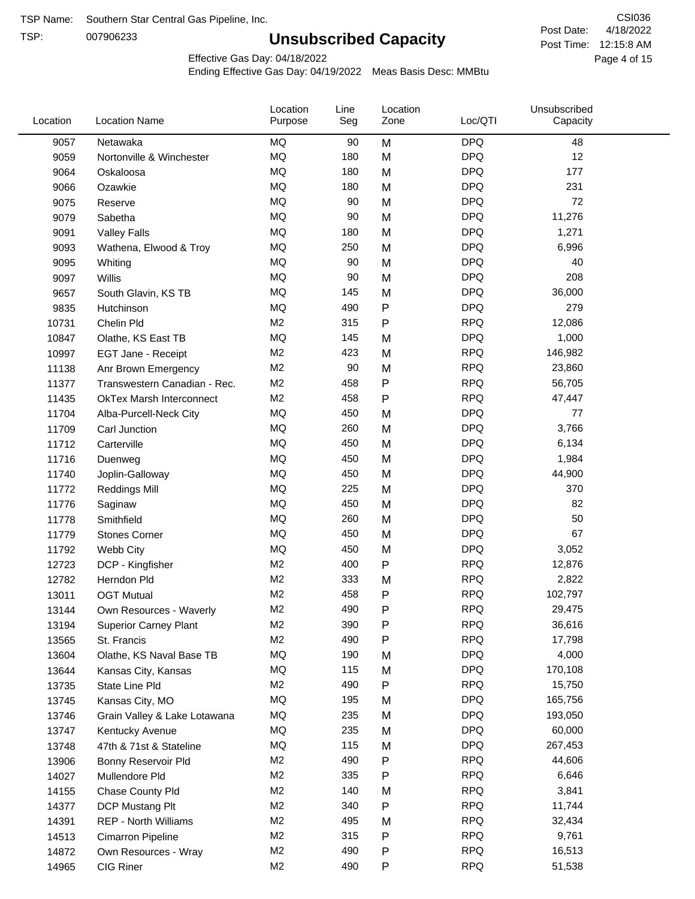TSP:

## **Unsubscribed Capacity**

4/18/2022 Page 4 of 15 Post Time: 12:15:8 AM CSI036 Post Date:

Effective Gas Day: 04/18/2022

| Location | <b>Location Name</b>            | Location<br>Purpose | Line<br>Seg | Location<br>Zone | Loc/QTI    | Unsubscribed<br>Capacity |  |
|----------|---------------------------------|---------------------|-------------|------------------|------------|--------------------------|--|
| 9057     | Netawaka                        | <b>MQ</b>           | 90          | M                | <b>DPQ</b> | 48                       |  |
| 9059     | Nortonville & Winchester        | MQ                  | 180         | M                | <b>DPQ</b> | 12                       |  |
| 9064     | Oskaloosa                       | <b>MQ</b>           | 180         | M                | <b>DPQ</b> | 177                      |  |
| 9066     | Ozawkie                         | <b>MQ</b>           | 180         | M                | <b>DPQ</b> | 231                      |  |
| 9075     | Reserve                         | <b>MQ</b>           | 90          | M                | <b>DPQ</b> | 72                       |  |
| 9079     | Sabetha                         | <b>MQ</b>           | 90          | M                | <b>DPQ</b> | 11,276                   |  |
| 9091     | <b>Valley Falls</b>             | MQ                  | 180         | M                | <b>DPQ</b> | 1,271                    |  |
| 9093     | Wathena, Elwood & Troy          | <b>MQ</b>           | 250         | M                | <b>DPQ</b> | 6,996                    |  |
| 9095     | Whiting                         | MQ                  | 90          | M                | <b>DPQ</b> | 40                       |  |
| 9097     | Willis                          | <b>MQ</b>           | 90          | M                | <b>DPQ</b> | 208                      |  |
| 9657     | South Glavin, KS TB             | <b>MQ</b>           | 145         | M                | <b>DPQ</b> | 36,000                   |  |
| 9835     | Hutchinson                      | MQ                  | 490         | P                | <b>DPQ</b> | 279                      |  |
| 10731    | Chelin Pld                      | M <sub>2</sub>      | 315         | P                | <b>RPQ</b> | 12,086                   |  |
| 10847    | Olathe, KS East TB              | <b>MQ</b>           | 145         | M                | <b>DPQ</b> | 1,000                    |  |
| 10997    | EGT Jane - Receipt              | M <sub>2</sub>      | 423         | M                | <b>RPQ</b> | 146,982                  |  |
| 11138    | Anr Brown Emergency             | M <sub>2</sub>      | 90          | M                | <b>RPQ</b> | 23,860                   |  |
| 11377    | Transwestern Canadian - Rec.    | M <sub>2</sub>      | 458         | P                | <b>RPQ</b> | 56,705                   |  |
| 11435    | <b>OkTex Marsh Interconnect</b> | M <sub>2</sub>      | 458         | Ρ                | <b>RPQ</b> | 47,447                   |  |
| 11704    | Alba-Purcell-Neck City          | <b>MQ</b>           | 450         | M                | <b>DPQ</b> | 77                       |  |
| 11709    | Carl Junction                   | <b>MQ</b>           | 260         | M                | <b>DPQ</b> | 3,766                    |  |
| 11712    | Carterville                     | <b>MQ</b>           | 450         | M                | <b>DPQ</b> | 6,134                    |  |
| 11716    | Duenweg                         | <b>MQ</b>           | 450         | M                | <b>DPQ</b> | 1,984                    |  |
| 11740    | Joplin-Galloway                 | <b>MQ</b>           | 450         | M                | <b>DPQ</b> | 44,900                   |  |
| 11772    | <b>Reddings Mill</b>            | <b>MQ</b>           | 225         | M                | <b>DPQ</b> | 370                      |  |
| 11776    | Saginaw                         | <b>MQ</b>           | 450         | M                | <b>DPQ</b> | 82                       |  |
| 11778    | Smithfield                      | <b>MQ</b>           | 260         | M                | <b>DPQ</b> | 50                       |  |
| 11779    | <b>Stones Corner</b>            | <b>MQ</b>           | 450         | M                | <b>DPQ</b> | 67                       |  |
| 11792    | Webb City                       | <b>MQ</b>           | 450         | M                | <b>DPQ</b> | 3,052                    |  |
| 12723    | DCP - Kingfisher                | M <sub>2</sub>      | 400         | P                | <b>RPQ</b> | 12,876                   |  |
| 12782    | Herndon Pld                     | M <sub>2</sub>      | 333         | M                | <b>RPQ</b> | 2,822                    |  |
| 13011    | <b>OGT Mutual</b>               | M <sub>2</sub>      | 458         | Ρ                | <b>RPQ</b> | 102,797                  |  |
| 13144    | Own Resources - Waverly         | M <sub>2</sub>      | 490         | P                | <b>RPQ</b> | 29,475                   |  |
| 13194    | <b>Superior Carney Plant</b>    | M <sub>2</sub>      | 390         | Ρ                | <b>RPQ</b> | 36,616                   |  |
| 13565    | St. Francis                     | M <sub>2</sub>      | 490         | Ρ                | <b>RPQ</b> | 17,798                   |  |
| 13604    | Olathe, KS Naval Base TB        | MQ                  | 190         | M                | <b>DPQ</b> | 4,000                    |  |
| 13644    | Kansas City, Kansas             | MQ                  | 115         | M                | <b>DPQ</b> | 170,108                  |  |
| 13735    | State Line Pld                  | M <sub>2</sub>      | 490         | Ρ                | <b>RPQ</b> | 15,750                   |  |
| 13745    | Kansas City, MO                 | MQ                  | 195         | M                | <b>DPQ</b> | 165,756                  |  |
| 13746    | Grain Valley & Lake Lotawana    | MQ                  | 235         | M                | <b>DPQ</b> | 193,050                  |  |
| 13747    | Kentucky Avenue                 | MQ                  | 235         | M                | <b>DPQ</b> | 60,000                   |  |
| 13748    | 47th & 71st & Stateline         | MQ                  | 115         | M                | <b>DPQ</b> | 267,453                  |  |
| 13906    | Bonny Reservoir Pld             | M <sub>2</sub>      | 490         | Ρ                | <b>RPQ</b> | 44,606                   |  |
| 14027    | Mullendore Pld                  | M <sub>2</sub>      | 335         | Ρ                | <b>RPQ</b> | 6,646                    |  |
| 14155    | Chase County Pld                | M <sub>2</sub>      | 140         | M                | <b>RPQ</b> | 3,841                    |  |
| 14377    | DCP Mustang Plt                 | M <sub>2</sub>      | 340         | Ρ                | <b>RPQ</b> | 11,744                   |  |
| 14391    | <b>REP - North Williams</b>     | M <sub>2</sub>      | 495         | M                | <b>RPQ</b> | 32,434                   |  |
| 14513    | Cimarron Pipeline               | M <sub>2</sub>      | 315         | Ρ                | <b>RPQ</b> | 9,761                    |  |
| 14872    | Own Resources - Wray            | M <sub>2</sub>      | 490         | Ρ                | <b>RPQ</b> | 16,513                   |  |
| 14965    | CIG Riner                       | M <sub>2</sub>      | 490         | Ρ                | <b>RPQ</b> | 51,538                   |  |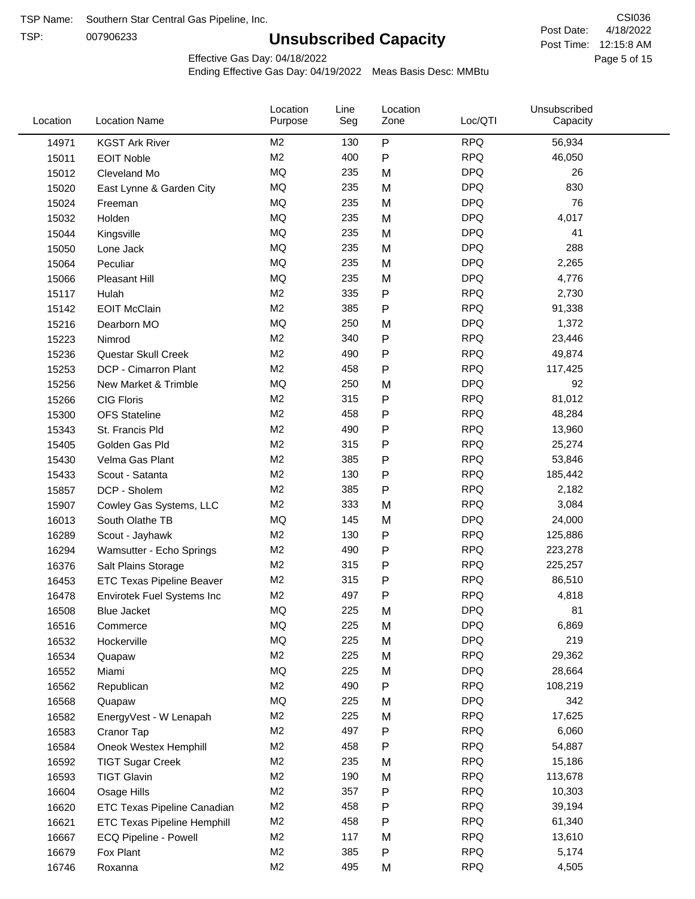TSP:

## **Unsubscribed Capacity**

4/18/2022 Page 5 of 15 Post Time: 12:15:8 AM CSI036 Post Date:

Effective Gas Day: 04/18/2022

| Location | <b>Location Name</b>               | Location<br>Purpose | Line<br>Seg | Location<br>Zone | Loc/QTI    | Unsubscribed<br>Capacity |  |
|----------|------------------------------------|---------------------|-------------|------------------|------------|--------------------------|--|
| 14971    | <b>KGST Ark River</b>              | M <sub>2</sub>      | 130         | $\sf P$          | <b>RPQ</b> | 56,934                   |  |
| 15011    | <b>EOIT Noble</b>                  | M <sub>2</sub>      | 400         | $\mathsf{P}$     | <b>RPQ</b> | 46,050                   |  |
| 15012    | Cleveland Mo                       | <b>MQ</b>           | 235         | M                | <b>DPQ</b> | 26                       |  |
| 15020    | East Lynne & Garden City           | <b>MQ</b>           | 235         | M                | <b>DPQ</b> | 830                      |  |
| 15024    | Freeman                            | <b>MQ</b>           | 235         | M                | <b>DPQ</b> | 76                       |  |
| 15032    | Holden                             | <b>MQ</b>           | 235         | M                | <b>DPQ</b> | 4,017                    |  |
| 15044    | Kingsville                         | <b>MQ</b>           | 235         | M                | <b>DPQ</b> | 41                       |  |
| 15050    | Lone Jack                          | <b>MQ</b>           | 235         | M                | <b>DPQ</b> | 288                      |  |
| 15064    | Peculiar                           | <b>MQ</b>           | 235         | M                | <b>DPQ</b> | 2,265                    |  |
| 15066    | <b>Pleasant Hill</b>               | <b>MQ</b>           | 235         | M                | <b>DPQ</b> | 4,776                    |  |
| 15117    | Hulah                              | M <sub>2</sub>      | 335         | ${\sf P}$        | <b>RPQ</b> | 2,730                    |  |
| 15142    | <b>EOIT McClain</b>                | M <sub>2</sub>      | 385         | $\mathsf{P}$     | <b>RPQ</b> | 91,338                   |  |
| 15216    | Dearborn MO                        | MQ                  | 250         | M                | <b>DPQ</b> | 1,372                    |  |
| 15223    | Nimrod                             | M <sub>2</sub>      | 340         | ${\sf P}$        | <b>RPQ</b> | 23,446                   |  |
| 15236    | Questar Skull Creek                | M <sub>2</sub>      | 490         | ${\sf P}$        | <b>RPQ</b> | 49,874                   |  |
| 15253    | DCP - Cimarron Plant               | M <sub>2</sub>      | 458         | $\mathsf{P}$     | <b>RPQ</b> | 117,425                  |  |
| 15256    | New Market & Trimble               | <b>MQ</b>           | 250         | M                | <b>DPQ</b> | 92                       |  |
| 15266    | <b>CIG Floris</b>                  | M <sub>2</sub>      | 315         | $\mathsf{P}$     | <b>RPQ</b> | 81,012                   |  |
| 15300    | <b>OFS Stateline</b>               | M <sub>2</sub>      | 458         | ${\sf P}$        | <b>RPQ</b> | 48,284                   |  |
| 15343    | St. Francis Pld                    | M <sub>2</sub>      | 490         | ${\sf P}$        | <b>RPQ</b> | 13,960                   |  |
| 15405    | Golden Gas Pld                     | M <sub>2</sub>      | 315         | $\mathsf{P}$     | <b>RPQ</b> | 25,274                   |  |
| 15430    | Velma Gas Plant                    | M <sub>2</sub>      | 385         | $\mathsf{P}$     | <b>RPQ</b> | 53,846                   |  |
| 15433    | Scout - Satanta                    | M <sub>2</sub>      | 130         | ${\sf P}$        | <b>RPQ</b> | 185,442                  |  |
| 15857    | DCP - Sholem                       | M <sub>2</sub>      | 385         | $\mathsf{P}$     | <b>RPQ</b> | 2,182                    |  |
| 15907    | Cowley Gas Systems, LLC            | M <sub>2</sub>      | 333         | M                | <b>RPQ</b> | 3,084                    |  |
| 16013    | South Olathe TB                    | MQ                  | 145         | M                | <b>DPQ</b> | 24,000                   |  |
| 16289    | Scout - Jayhawk                    | M <sub>2</sub>      | 130         | $\mathsf{P}$     | <b>RPQ</b> | 125,886                  |  |
| 16294    | Wamsutter - Echo Springs           | M <sub>2</sub>      | 490         | ${\sf P}$        | <b>RPQ</b> | 223,278                  |  |
| 16376    | Salt Plains Storage                | M <sub>2</sub>      | 315         | $\mathsf{P}$     | <b>RPQ</b> | 225,257                  |  |
| 16453    | <b>ETC Texas Pipeline Beaver</b>   | M <sub>2</sub>      | 315         | ${\sf P}$        | <b>RPQ</b> | 86,510                   |  |
| 16478    | Envirotek Fuel Systems Inc         | M <sub>2</sub>      | 497         | P                | <b>RPQ</b> | 4,818                    |  |
| 16508    | Blue Jacket                        | MQ                  | 225         | M                | <b>DPQ</b> | 81                       |  |
| 16516    | Commerce                           | MQ                  | 225         | M                | <b>DPQ</b> | 6,869                    |  |
| 16532    | Hockerville                        | MQ                  | 225         | M                | <b>DPQ</b> | 219                      |  |
| 16534    | Quapaw                             | M <sub>2</sub>      | 225         | M                | <b>RPQ</b> | 29,362                   |  |
| 16552    | Miami                              | MQ                  | 225         | M                | <b>DPQ</b> | 28,664                   |  |
| 16562    | Republican                         | M <sub>2</sub>      | 490         | P                | <b>RPQ</b> | 108,219                  |  |
| 16568    | Quapaw                             | MQ                  | 225         | M                | <b>DPQ</b> | 342                      |  |
| 16582    | EnergyVest - W Lenapah             | M <sub>2</sub>      | 225         | M                | <b>RPQ</b> | 17,625                   |  |
| 16583    | Cranor Tap                         | M <sub>2</sub>      | 497         | Ρ                | <b>RPQ</b> | 6,060                    |  |
| 16584    | Oneok Westex Hemphill              | M <sub>2</sub>      | 458         | P                | <b>RPQ</b> | 54,887                   |  |
| 16592    | <b>TIGT Sugar Creek</b>            | M <sub>2</sub>      | 235         | M                | <b>RPQ</b> | 15,186                   |  |
| 16593    | <b>TIGT Glavin</b>                 | M <sub>2</sub>      | 190         | M                | <b>RPQ</b> | 113,678                  |  |
| 16604    | Osage Hills                        | M <sub>2</sub>      | 357         | Ρ                | <b>RPQ</b> | 10,303                   |  |
| 16620    | ETC Texas Pipeline Canadian        | M <sub>2</sub>      | 458         | Ρ                | <b>RPQ</b> | 39,194                   |  |
| 16621    | <b>ETC Texas Pipeline Hemphill</b> | M <sub>2</sub>      | 458         | P                | <b>RPQ</b> | 61,340                   |  |
| 16667    | ECQ Pipeline - Powell              | M <sub>2</sub>      | 117         | M                | <b>RPQ</b> | 13,610                   |  |
| 16679    | Fox Plant                          | M <sub>2</sub>      | 385         | P                | <b>RPQ</b> | 5,174                    |  |
| 16746    | Roxanna                            | M <sub>2</sub>      | 495         | M                | <b>RPQ</b> | 4,505                    |  |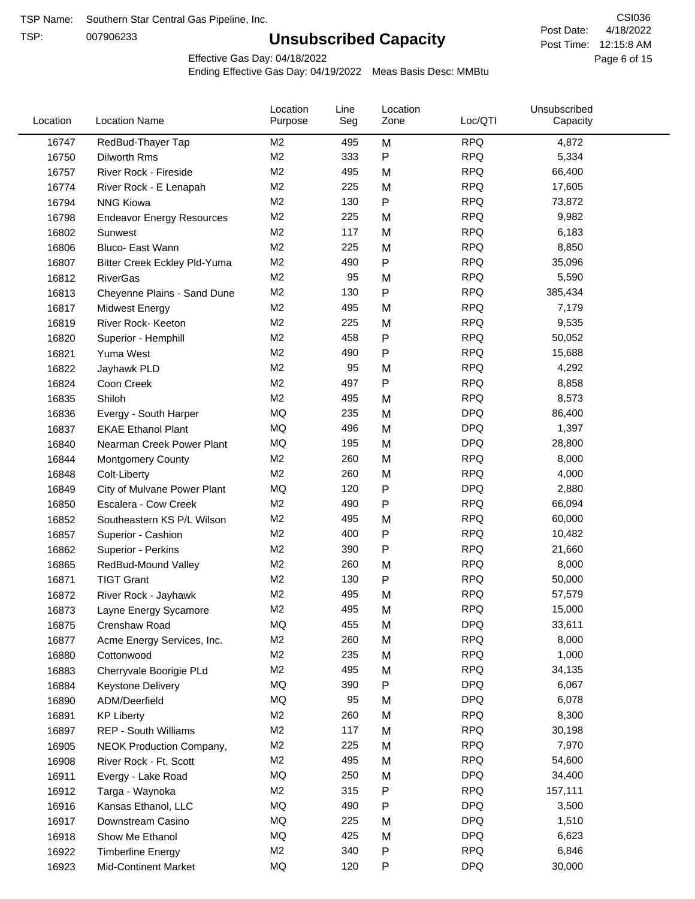TSP:

## **Unsubscribed Capacity**

4/18/2022 Page 6 of 15 Post Time: 12:15:8 AM CSI036 Post Date:

Effective Gas Day: 04/18/2022

| Location | <b>Location Name</b>             | Location<br>Purpose | Line<br>Seg | Location<br>Zone | Loc/QTI    | Unsubscribed<br>Capacity |  |
|----------|----------------------------------|---------------------|-------------|------------------|------------|--------------------------|--|
| 16747    | RedBud-Thayer Tap                | M <sub>2</sub>      | 495         | M                | <b>RPQ</b> | 4,872                    |  |
| 16750    | Dilworth Rms                     | M <sub>2</sub>      | 333         | P                | <b>RPQ</b> | 5,334                    |  |
| 16757    | River Rock - Fireside            | M <sub>2</sub>      | 495         | M                | <b>RPQ</b> | 66,400                   |  |
| 16774    | River Rock - E Lenapah           | M <sub>2</sub>      | 225         | M                | <b>RPQ</b> | 17,605                   |  |
| 16794    | <b>NNG Kiowa</b>                 | M <sub>2</sub>      | 130         | P                | <b>RPQ</b> | 73,872                   |  |
| 16798    | <b>Endeavor Energy Resources</b> | M <sub>2</sub>      | 225         | M                | <b>RPQ</b> | 9,982                    |  |
| 16802    | Sunwest                          | M <sub>2</sub>      | 117         | M                | <b>RPQ</b> | 6,183                    |  |
| 16806    | Bluco- East Wann                 | M <sub>2</sub>      | 225         | M                | <b>RPQ</b> | 8,850                    |  |
| 16807    | Bitter Creek Eckley Pld-Yuma     | M <sub>2</sub>      | 490         | P                | <b>RPQ</b> | 35,096                   |  |
| 16812    | <b>RiverGas</b>                  | M <sub>2</sub>      | 95          | M                | <b>RPQ</b> | 5,590                    |  |
| 16813    | Cheyenne Plains - Sand Dune      | M <sub>2</sub>      | 130         | P                | <b>RPQ</b> | 385,434                  |  |
| 16817    | <b>Midwest Energy</b>            | M <sub>2</sub>      | 495         | M                | <b>RPQ</b> | 7,179                    |  |
| 16819    | River Rock- Keeton               | M <sub>2</sub>      | 225         | M                | <b>RPQ</b> | 9,535                    |  |
| 16820    | Superior - Hemphill              | M <sub>2</sub>      | 458         | Ρ                | <b>RPQ</b> | 50,052                   |  |
| 16821    | Yuma West                        | M <sub>2</sub>      | 490         | P                | <b>RPQ</b> | 15,688                   |  |
| 16822    | Jayhawk PLD                      | M <sub>2</sub>      | 95          | M                | <b>RPQ</b> | 4,292                    |  |
| 16824    | Coon Creek                       | M <sub>2</sub>      | 497         | P                | <b>RPQ</b> | 8,858                    |  |
| 16835    | Shiloh                           | M <sub>2</sub>      | 495         | M                | <b>RPQ</b> | 8,573                    |  |
| 16836    | Evergy - South Harper            | MQ                  | 235         | M                | <b>DPQ</b> | 86,400                   |  |
| 16837    | <b>EKAE Ethanol Plant</b>        | MQ                  | 496         | M                | <b>DPQ</b> | 1,397                    |  |
| 16840    | Nearman Creek Power Plant        | MQ                  | 195         | M                | <b>DPQ</b> | 28,800                   |  |
| 16844    | <b>Montgomery County</b>         | M <sub>2</sub>      | 260         | M                | <b>RPQ</b> | 8,000                    |  |
| 16848    | Colt-Liberty                     | M <sub>2</sub>      | 260         | M                | <b>RPQ</b> | 4,000                    |  |
| 16849    | City of Mulvane Power Plant      | MQ                  | 120         | P                | <b>DPQ</b> | 2,880                    |  |
| 16850    | Escalera - Cow Creek             | M <sub>2</sub>      | 490         | Ρ                | <b>RPQ</b> | 66,094                   |  |
| 16852    | Southeastern KS P/L Wilson       | M <sub>2</sub>      | 495         | M                | <b>RPQ</b> | 60,000                   |  |
| 16857    | Superior - Cashion               | M <sub>2</sub>      | 400         | Ρ                | <b>RPQ</b> | 10,482                   |  |
| 16862    | Superior - Perkins               | M <sub>2</sub>      | 390         | P                | <b>RPQ</b> | 21,660                   |  |
| 16865    | RedBud-Mound Valley              | M <sub>2</sub>      | 260         | M                | <b>RPQ</b> | 8,000                    |  |
| 16871    | <b>TIGT Grant</b>                | M <sub>2</sub>      | 130         | P                | <b>RPQ</b> | 50,000                   |  |
| 16872    | River Rock - Jayhawk             | M <sub>2</sub>      | 495         | M                | <b>RPQ</b> | 57,579                   |  |
| 16873    | Layne Energy Sycamore            | M <sub>2</sub>      | 495         | M                | <b>RPQ</b> | 15,000                   |  |
| 16875    | Crenshaw Road                    | MQ                  | 455         | M                | <b>DPQ</b> | 33,611                   |  |
| 16877    | Acme Energy Services, Inc.       | M <sub>2</sub>      | 260         | M                | <b>RPQ</b> | 8,000                    |  |
| 16880    | Cottonwood                       | M <sub>2</sub>      | 235         | M                | <b>RPQ</b> | 1,000                    |  |
| 16883    | Cherryvale Boorigie PLd          | M <sub>2</sub>      | 495         | M                | <b>RPQ</b> | 34,135                   |  |
| 16884    | Keystone Delivery                | MQ                  | 390         | Ρ                | <b>DPQ</b> | 6,067                    |  |
| 16890    | ADM/Deerfield                    | MQ                  | 95          | M                | <b>DPQ</b> | 6,078                    |  |
| 16891    | <b>KP Liberty</b>                | M <sub>2</sub>      | 260         | M                | <b>RPQ</b> | 8,300                    |  |
| 16897    | <b>REP - South Williams</b>      | M <sub>2</sub>      | 117         | M                | <b>RPQ</b> | 30,198                   |  |
| 16905    | NEOK Production Company,         | M <sub>2</sub>      | 225         | Μ                | <b>RPQ</b> | 7,970                    |  |
| 16908    | River Rock - Ft. Scott           | M <sub>2</sub>      | 495         | M                | <b>RPQ</b> | 54,600                   |  |
| 16911    | Evergy - Lake Road               | MQ                  | 250         | M                | <b>DPQ</b> | 34,400                   |  |
| 16912    | Targa - Waynoka                  | M <sub>2</sub>      | 315         | P                | <b>RPQ</b> | 157,111                  |  |
| 16916    | Kansas Ethanol, LLC              | MQ                  | 490         | P                | <b>DPQ</b> | 3,500                    |  |
| 16917    | Downstream Casino                | MQ                  | 225         | M                | <b>DPQ</b> | 1,510                    |  |
| 16918    | Show Me Ethanol                  | MQ                  | 425         | M                | <b>DPQ</b> | 6,623                    |  |
| 16922    | <b>Timberline Energy</b>         | M <sub>2</sub>      | 340         | P                | <b>RPQ</b> | 6,846                    |  |
| 16923    | <b>Mid-Continent Market</b>      | MQ                  | 120         | P                | <b>DPQ</b> | 30,000                   |  |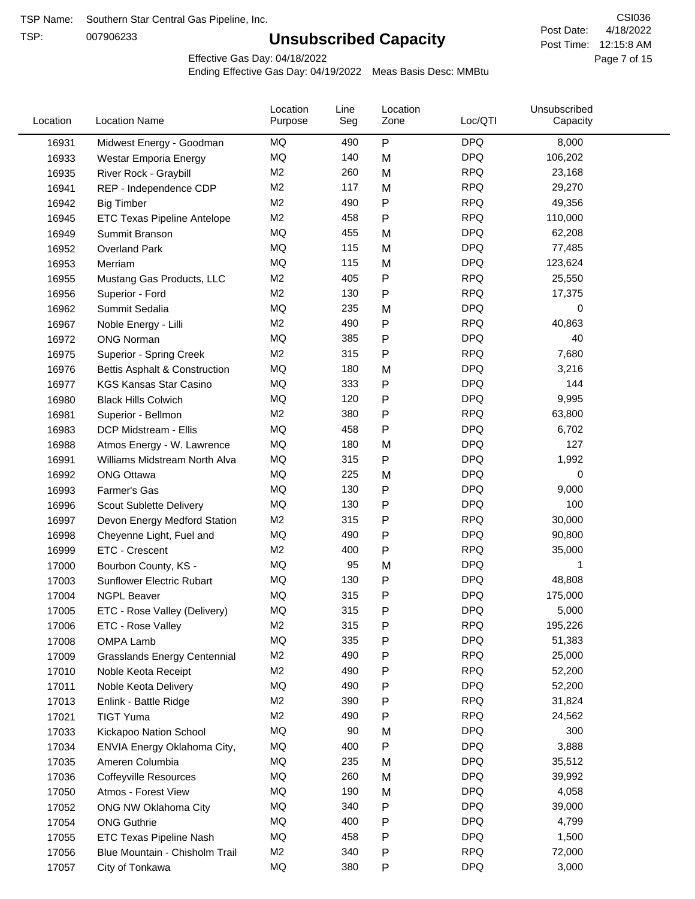TSP:

## **Unsubscribed Capacity**

4/18/2022 Page 7 of 15 Post Time: 12:15:8 AM CSI036 Post Date:

Effective Gas Day: 04/18/2022

| Location | <b>Location Name</b>                | Location<br>Purpose | Line<br>Seg | Location<br>Zone | Loc/QTI    | Unsubscribed<br>Capacity |  |
|----------|-------------------------------------|---------------------|-------------|------------------|------------|--------------------------|--|
| 16931    | Midwest Energy - Goodman            | MQ                  | 490         | P                | <b>DPQ</b> | 8,000                    |  |
| 16933    | Westar Emporia Energy               | MQ                  | 140         | M                | <b>DPQ</b> | 106,202                  |  |
| 16935    | River Rock - Graybill               | M <sub>2</sub>      | 260         | M                | <b>RPQ</b> | 23,168                   |  |
| 16941    | REP - Independence CDP              | M <sub>2</sub>      | 117         | M                | <b>RPQ</b> | 29,270                   |  |
| 16942    | <b>Big Timber</b>                   | M <sub>2</sub>      | 490         | Ρ                | <b>RPQ</b> | 49,356                   |  |
| 16945    | ETC Texas Pipeline Antelope         | M <sub>2</sub>      | 458         | Ρ                | <b>RPQ</b> | 110,000                  |  |
| 16949    | Summit Branson                      | MQ                  | 455         | M                | <b>DPQ</b> | 62,208                   |  |
| 16952    | Overland Park                       | MQ                  | 115         | M                | <b>DPQ</b> | 77,485                   |  |
| 16953    | Merriam                             | MQ                  | 115         | M                | <b>DPQ</b> | 123,624                  |  |
| 16955    | Mustang Gas Products, LLC           | M <sub>2</sub>      | 405         | P                | <b>RPQ</b> | 25,550                   |  |
| 16956    | Superior - Ford                     | M <sub>2</sub>      | 130         | Ρ                | <b>RPQ</b> | 17,375                   |  |
| 16962    | Summit Sedalia                      | MQ                  | 235         | M                | <b>DPQ</b> | 0                        |  |
| 16967    | Noble Energy - Lilli                | M <sub>2</sub>      | 490         | P                | <b>RPQ</b> | 40,863                   |  |
| 16972    | <b>ONG Norman</b>                   | MQ                  | 385         | Ρ                | <b>DPQ</b> | 40                       |  |
| 16975    | <b>Superior - Spring Creek</b>      | M <sub>2</sub>      | 315         | P                | <b>RPQ</b> | 7,680                    |  |
| 16976    | Bettis Asphalt & Construction       | MQ                  | 180         | M                | <b>DPQ</b> | 3,216                    |  |
| 16977    | <b>KGS Kansas Star Casino</b>       | MQ                  | 333         | P                | <b>DPQ</b> | 144                      |  |
| 16980    | <b>Black Hills Colwich</b>          | MQ                  | 120         | Ρ                | <b>DPQ</b> | 9,995                    |  |
| 16981    | Superior - Bellmon                  | M <sub>2</sub>      | 380         | Ρ                | <b>RPQ</b> | 63,800                   |  |
| 16983    | DCP Midstream - Ellis               | MQ                  | 458         | Ρ                | <b>DPQ</b> | 6,702                    |  |
| 16988    | Atmos Energy - W. Lawrence          | MQ                  | 180         | M                | <b>DPQ</b> | 127                      |  |
| 16991    | Williams Midstream North Alva       | <b>MQ</b>           | 315         | Ρ                | <b>DPQ</b> | 1,992                    |  |
| 16992    | <b>ONG Ottawa</b>                   | MQ                  | 225         | M                | <b>DPQ</b> | 0                        |  |
| 16993    | Farmer's Gas                        | MQ                  | 130         | Ρ                | <b>DPQ</b> | 9,000                    |  |
| 16996    | Scout Sublette Delivery             | MQ                  | 130         | Ρ                | <b>DPQ</b> | 100                      |  |
| 16997    | Devon Energy Medford Station        | M <sub>2</sub>      | 315         | Ρ                | <b>RPQ</b> | 30,000                   |  |
| 16998    | Cheyenne Light, Fuel and            | MQ                  | 490         | P                | <b>DPQ</b> | 90,800                   |  |
| 16999    | ETC - Crescent                      | M <sub>2</sub>      | 400         | Ρ                | <b>RPQ</b> | 35,000                   |  |
| 17000    | Bourbon County, KS -                | MQ                  | 95          | M                | <b>DPQ</b> | 1                        |  |
| 17003    | Sunflower Electric Rubart           | MQ                  | 130         | Ρ                | <b>DPQ</b> | 48,808                   |  |
| 17004    | <b>NGPL Beaver</b>                  | MQ                  | 315         | Ρ                | <b>DPQ</b> | 175,000                  |  |
| 17005    | ETC - Rose Valley (Delivery)        | MQ                  | 315         | P                | <b>DPQ</b> | 5,000                    |  |
| 17006    | ETC - Rose Valley                   | M <sub>2</sub>      | 315         | Ρ                | <b>RPQ</b> | 195,226                  |  |
| 17008    | <b>OMPA Lamb</b>                    | MQ                  | 335         | Ρ                | <b>DPQ</b> | 51,383                   |  |
| 17009    | <b>Grasslands Energy Centennial</b> | M <sub>2</sub>      | 490         | Ρ                | <b>RPQ</b> | 25,000                   |  |
| 17010    | Noble Keota Receipt                 | M <sub>2</sub>      | 490         | Ρ                | <b>RPQ</b> | 52,200                   |  |
| 17011    | Noble Keota Delivery                | MQ                  | 490         | Ρ                | <b>DPQ</b> | 52,200                   |  |
| 17013    | Enlink - Battle Ridge               | M <sub>2</sub>      | 390         | Ρ                | <b>RPQ</b> | 31,824                   |  |
| 17021    | <b>TIGT Yuma</b>                    | M <sub>2</sub>      | 490         | Ρ                | <b>RPQ</b> | 24,562                   |  |
| 17033    | Kickapoo Nation School              | MQ                  | 90          | M                | <b>DPQ</b> | 300                      |  |
| 17034    | ENVIA Energy Oklahoma City,         | MQ                  | 400         | Ρ                | <b>DPQ</b> | 3,888                    |  |
| 17035    | Ameren Columbia                     | MQ                  | 235         | M                | <b>DPQ</b> | 35,512                   |  |
| 17036    | <b>Coffeyville Resources</b>        | MQ                  | 260         | M                | <b>DPQ</b> | 39,992                   |  |
| 17050    | Atmos - Forest View                 | MQ                  | 190         | M                | <b>DPQ</b> | 4,058                    |  |
| 17052    | ONG NW Oklahoma City                | MQ                  | 340         | P                | <b>DPQ</b> | 39,000                   |  |
| 17054    | <b>ONG Guthrie</b>                  | MQ                  | 400         | Ρ                | <b>DPQ</b> | 4,799                    |  |
| 17055    | ETC Texas Pipeline Nash             | MQ                  | 458         | Ρ                | <b>DPQ</b> | 1,500                    |  |
| 17056    | Blue Mountain - Chisholm Trail      | M <sub>2</sub>      | 340         | Ρ                | <b>RPQ</b> | 72,000                   |  |
| 17057    | City of Tonkawa                     | MQ                  | 380         | P                | <b>DPQ</b> | 3,000                    |  |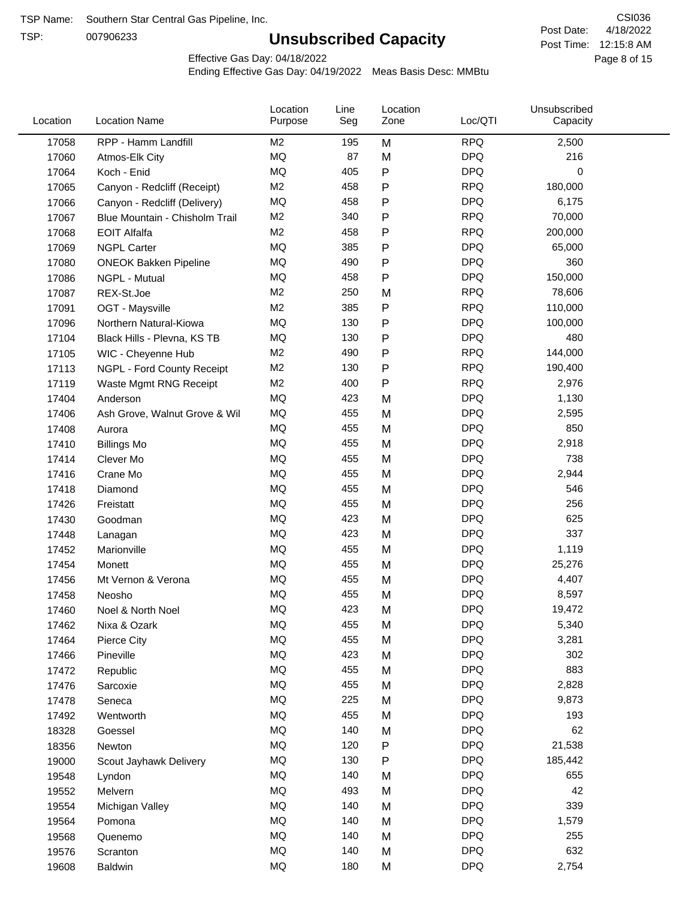TSP:

## **Unsubscribed Capacity**

4/18/2022 Page 8 of 15 Post Time: 12:15:8 AM CSI036 Post Date:

Unsubscribed

Effective Gas Day: 04/18/2022

Location

Ending Effective Gas Day: 04/19/2022 Meas Basis Desc: MMBtu

Line

Location

| Location | <b>Location Name</b>           | Purpose        | Seg | Zone | Loc/QTI    | Capacity |  |
|----------|--------------------------------|----------------|-----|------|------------|----------|--|
| 17058    | RPP - Hamm Landfill            | M <sub>2</sub> | 195 | M    | <b>RPQ</b> | 2,500    |  |
| 17060    | Atmos-Elk City                 | MQ             | 87  | M    | <b>DPQ</b> | 216      |  |
| 17064    | Koch - Enid                    | MQ             | 405 | P    | <b>DPQ</b> | 0        |  |
| 17065    | Canyon - Redcliff (Receipt)    | M <sub>2</sub> | 458 | Ρ    | <b>RPQ</b> | 180,000  |  |
| 17066    | Canyon - Redcliff (Delivery)   | MQ             | 458 | Ρ    | <b>DPQ</b> | 6,175    |  |
| 17067    | Blue Mountain - Chisholm Trail | M <sub>2</sub> | 340 | P    | <b>RPQ</b> | 70,000   |  |
| 17068    | <b>EOIT Alfalfa</b>            | M <sub>2</sub> | 458 | Ρ    | <b>RPQ</b> | 200,000  |  |
| 17069    | <b>NGPL Carter</b>             | MQ             | 385 | Ρ    | <b>DPQ</b> | 65,000   |  |
| 17080    | <b>ONEOK Bakken Pipeline</b>   | MQ             | 490 | Ρ    | <b>DPQ</b> | 360      |  |
| 17086    | NGPL - Mutual                  | <b>MQ</b>      | 458 | P    | <b>DPQ</b> | 150,000  |  |
| 17087    | REX-St.Joe                     | M <sub>2</sub> | 250 | M    | <b>RPQ</b> | 78,606   |  |
| 17091    | OGT - Maysville                | M <sub>2</sub> | 385 | P    | <b>RPQ</b> | 110,000  |  |
| 17096    | Northern Natural-Kiowa         | MQ             | 130 | Ρ    | <b>DPQ</b> | 100,000  |  |
| 17104    | Black Hills - Plevna, KS TB    | MQ             | 130 | Ρ    | <b>DPQ</b> | 480      |  |
| 17105    | WIC - Cheyenne Hub             | M <sub>2</sub> | 490 | P    | <b>RPQ</b> | 144,000  |  |
| 17113    | NGPL - Ford County Receipt     | M <sub>2</sub> | 130 | Ρ    | <b>RPQ</b> | 190,400  |  |
| 17119    | Waste Mgmt RNG Receipt         | M <sub>2</sub> | 400 | P    | <b>RPQ</b> | 2,976    |  |
| 17404    | Anderson                       | <b>MQ</b>      | 423 | M    | <b>DPQ</b> | 1,130    |  |
| 17406    | Ash Grove, Walnut Grove & Wil  | MQ             | 455 | M    | <b>DPQ</b> | 2,595    |  |
| 17408    | Aurora                         | MQ             | 455 | M    | <b>DPQ</b> | 850      |  |
| 17410    | <b>Billings Mo</b>             | MQ             | 455 | M    | <b>DPQ</b> | 2,918    |  |
| 17414    | Clever Mo                      | <b>MQ</b>      | 455 | M    | <b>DPQ</b> | 738      |  |
| 17416    | Crane Mo                       | <b>MQ</b>      | 455 | M    | <b>DPQ</b> | 2,944    |  |
| 17418    | Diamond                        | <b>MQ</b>      | 455 | M    | <b>DPQ</b> | 546      |  |
| 17426    | Freistatt                      | MQ             | 455 | M    | <b>DPQ</b> | 256      |  |
| 17430    | Goodman                        | MQ             | 423 | M    | <b>DPQ</b> | 625      |  |
| 17448    | Lanagan                        | MQ             | 423 | M    | <b>DPQ</b> | 337      |  |
| 17452    | Marionville                    | MQ             | 455 | M    | <b>DPQ</b> | 1,119    |  |
| 17454    | Monett                         | MQ             | 455 | M    | <b>DPQ</b> | 25,276   |  |
| 17456    | Mt Vernon & Verona             | MQ             | 455 | M    | <b>DPQ</b> | 4,407    |  |
| 17458    | Neosho                         | MQ             | 455 | M    | <b>DPQ</b> | 8,597    |  |
| 17460    | Noel & North Noel              | MQ             | 423 | M    | <b>DPQ</b> | 19,472   |  |
| 17462    | Nixa & Ozark                   | MQ             | 455 | M    | <b>DPQ</b> | 5,340    |  |
| 17464    | Pierce City                    | ΜQ             | 455 | M    | <b>DPQ</b> | 3,281    |  |
| 17466    | Pineville                      | MQ             | 423 | M    | <b>DPQ</b> | 302      |  |
| 17472    | Republic                       | MQ             | 455 | M    | <b>DPQ</b> | 883      |  |
| 17476    | Sarcoxie                       | MQ             | 455 | M    | <b>DPQ</b> | 2,828    |  |
| 17478    | Seneca                         | MQ             | 225 | M    | <b>DPQ</b> | 9,873    |  |
| 17492    | Wentworth                      | MQ             | 455 | M    | <b>DPQ</b> | 193      |  |
| 18328    | Goessel                        | MQ             | 140 | M    | <b>DPQ</b> | 62       |  |
| 18356    | Newton                         | MQ             | 120 | Ρ    | <b>DPQ</b> | 21,538   |  |
| 19000    | Scout Jayhawk Delivery         | MQ             | 130 | Ρ    | <b>DPQ</b> | 185,442  |  |
| 19548    | Lyndon                         | MQ             | 140 | M    | <b>DPQ</b> | 655      |  |
| 19552    | Melvern                        | MQ             | 493 | M    | <b>DPQ</b> | 42       |  |
| 19554    | Michigan Valley                | MQ             | 140 | M    | <b>DPQ</b> | 339      |  |
| 19564    | Pomona                         | MQ             | 140 | M    | <b>DPQ</b> | 1,579    |  |
| 19568    | Quenemo                        | MQ             | 140 | M    | <b>DPQ</b> | 255      |  |
| 19576    | Scranton                       | MQ             | 140 | M    | <b>DPQ</b> | 632      |  |
| 19608    | Baldwin                        | $\sf{MQ}$      | 180 | M    | <b>DPQ</b> | 2,754    |  |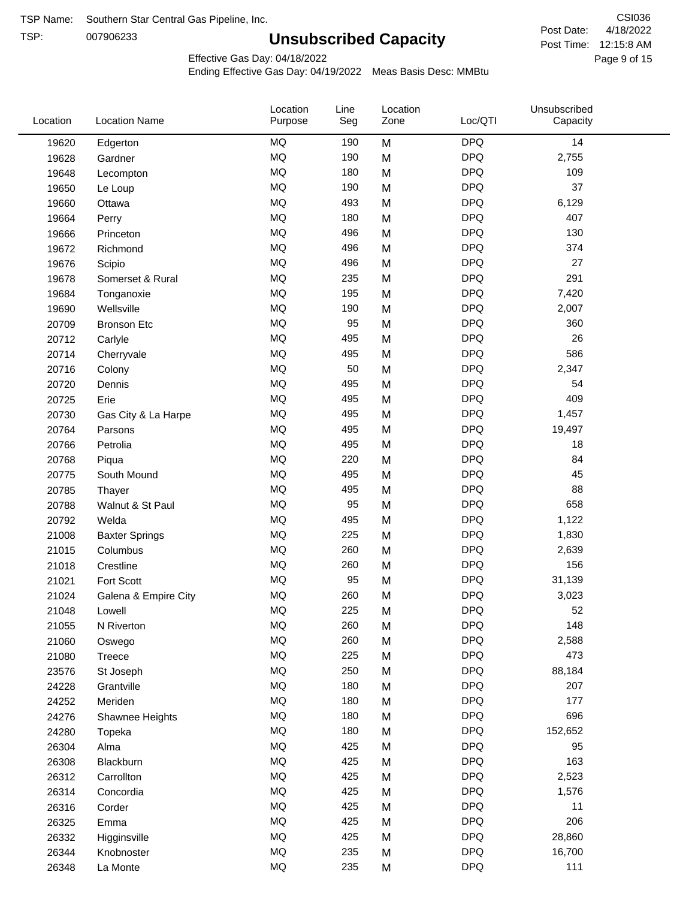TSP:

## **Unsubscribed Capacity**

4/18/2022 Page 9 of 15 Post Time: 12:15:8 AM CSI036 Post Date:

Effective Gas Day: 04/18/2022

| Location | <b>Location Name</b>  | Location<br>Purpose | Line<br>Seg | Location<br>Zone | Loc/QTI    | Unsubscribed<br>Capacity |
|----------|-----------------------|---------------------|-------------|------------------|------------|--------------------------|
| 19620    | Edgerton              | <b>MQ</b>           | 190         | M                | <b>DPQ</b> | 14                       |
| 19628    | Gardner               | MQ                  | 190         | M                | <b>DPQ</b> | 2,755                    |
| 19648    | Lecompton             | <b>MQ</b>           | 180         | M                | <b>DPQ</b> | 109                      |
| 19650    | Le Loup               | <b>MQ</b>           | 190         | M                | <b>DPQ</b> | 37                       |
| 19660    | Ottawa                | <b>MQ</b>           | 493         | M                | <b>DPQ</b> | 6,129                    |
| 19664    | Perry                 | <b>MQ</b>           | 180         | M                | <b>DPQ</b> | 407                      |
| 19666    | Princeton             | MQ                  | 496         | M                | <b>DPQ</b> | 130                      |
| 19672    | Richmond              | <b>MQ</b>           | 496         | M                | <b>DPQ</b> | 374                      |
| 19676    | Scipio                | <b>MQ</b>           | 496         | M                | <b>DPQ</b> | 27                       |
| 19678    | Somerset & Rural      | <b>MQ</b>           | 235         | M                | <b>DPQ</b> | 291                      |
| 19684    | Tonganoxie            | MQ                  | 195         | M                | <b>DPQ</b> | 7,420                    |
| 19690    | Wellsville            | <b>MQ</b>           | 190         | M                | <b>DPQ</b> | 2,007                    |
| 20709    | <b>Bronson Etc</b>    | MQ                  | 95          | M                | <b>DPQ</b> | 360                      |
| 20712    | Carlyle               | <b>MQ</b>           | 495         | M                | <b>DPQ</b> | 26                       |
| 20714    | Cherryvale            | <b>MQ</b>           | 495         | M                | <b>DPQ</b> | 586                      |
| 20716    | Colony                | MQ                  | 50          | M                | <b>DPQ</b> | 2,347                    |
| 20720    | Dennis                | <b>MQ</b>           | 495         | M                | <b>DPQ</b> | 54                       |
| 20725    | Erie                  | <b>MQ</b>           | 495         | M                | <b>DPQ</b> | 409                      |
| 20730    | Gas City & La Harpe   | <b>MQ</b>           | 495         | M                | <b>DPQ</b> | 1,457                    |
| 20764    | Parsons               | <b>MQ</b>           | 495         | M                | <b>DPQ</b> | 19,497                   |
| 20766    | Petrolia              | MQ                  | 495         | M                | <b>DPQ</b> | 18                       |
| 20768    | Piqua                 | MQ                  | 220         | M                | <b>DPQ</b> | 84                       |
| 20775    | South Mound           | <b>MQ</b>           | 495         | M                | <b>DPQ</b> | 45                       |
| 20785    | Thayer                | <b>MQ</b>           | 495         | M                | <b>DPQ</b> | 88                       |
| 20788    | Walnut & St Paul      | MQ                  | 95          | M                | <b>DPQ</b> | 658                      |
| 20792    | Welda                 | <b>MQ</b>           | 495         | M                | <b>DPQ</b> | 1,122                    |
| 21008    | <b>Baxter Springs</b> | <b>MQ</b>           | 225         | M                | <b>DPQ</b> | 1,830                    |
| 21015    | Columbus              | MQ                  | 260         | M                | <b>DPQ</b> | 2,639                    |
| 21018    | Crestline             | MQ                  | 260         | M                | <b>DPQ</b> | 156                      |
| 21021    | Fort Scott            | MQ                  | 95          | M                | <b>DPQ</b> | 31,139                   |
| 21024    | Galena & Empire City  | MQ                  | 260         | M                | <b>DPQ</b> | 3,023                    |
| 21048    | Lowell                | MQ                  | 225         | M                | <b>DPQ</b> | 52                       |
| 21055    | N Riverton            | MQ                  | 260         | M                | <b>DPQ</b> | 148                      |
| 21060    | Oswego                | $\sf{MQ}$           | 260         | M                | <b>DPQ</b> | 2,588                    |
| 21080    | Treece                | MQ                  | 225         | M                | <b>DPQ</b> | 473                      |
| 23576    | St Joseph             | MQ                  | 250         | M                | <b>DPQ</b> | 88,184                   |
| 24228    | Grantville            | MQ                  | 180         | M                | <b>DPQ</b> | 207                      |
| 24252    | Meriden               | MQ                  | 180         | M                | <b>DPQ</b> | 177                      |
| 24276    | Shawnee Heights       | $\sf{MQ}$           | 180         | M                | <b>DPQ</b> | 696                      |
| 24280    | Topeka                | MQ                  | 180         | M                | <b>DPQ</b> | 152,652                  |
| 26304    | Alma                  | MQ                  | 425         | M                | <b>DPQ</b> | 95                       |
| 26308    | Blackburn             | MQ                  | 425         | M                | <b>DPQ</b> | 163                      |
| 26312    | Carrollton            | MQ                  | 425         | M                | <b>DPQ</b> | 2,523                    |
| 26314    | Concordia             | MQ                  | 425         | M                | <b>DPQ</b> | 1,576                    |
| 26316    | Corder                | MQ                  | 425         | M                | <b>DPQ</b> | 11                       |
| 26325    | Emma                  | MQ                  | 425         | M                | <b>DPQ</b> | 206                      |
| 26332    | Higginsville          | MQ                  | 425         | M                | <b>DPQ</b> | 28,860                   |
| 26344    | Knobnoster            | $\sf{MQ}$           | 235         | M                | <b>DPQ</b> | 16,700                   |
| 26348    | La Monte              | MQ                  | 235         | M                | <b>DPQ</b> | 111                      |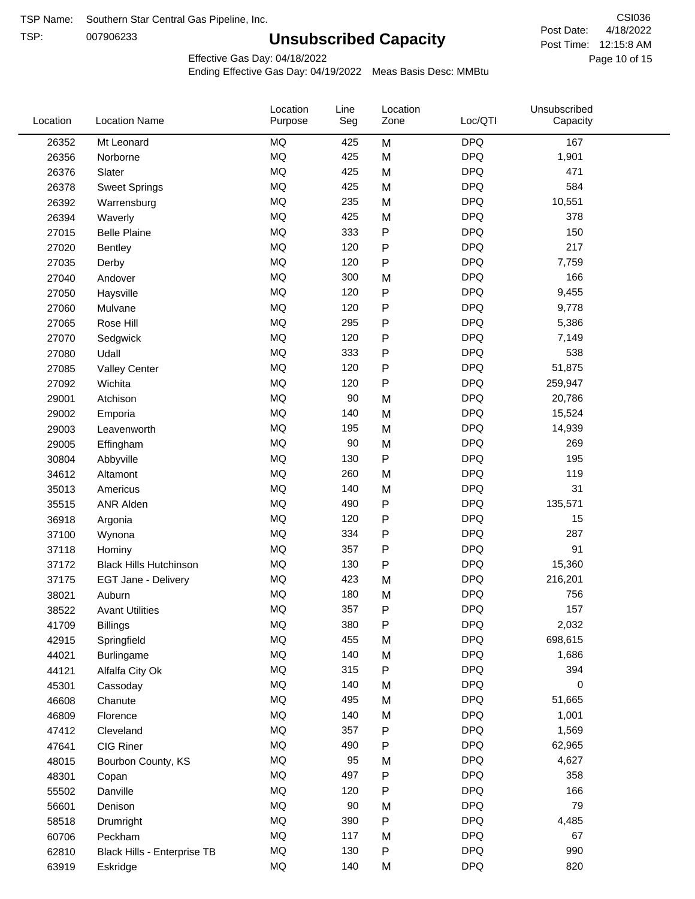TSP:

## **Unsubscribed Capacity**

4/18/2022 Page 10 of 15 Post Time: 12:15:8 AM CSI036 Post Date:

Effective Gas Day: 04/18/2022

| Location | <b>Location Name</b>          | Location<br>Purpose | Line<br>Seg | Location<br>Zone | Loc/QTI    | Unsubscribed<br>Capacity |  |
|----------|-------------------------------|---------------------|-------------|------------------|------------|--------------------------|--|
| 26352    | Mt Leonard                    | <b>MQ</b>           | 425         | M                | <b>DPQ</b> | 167                      |  |
| 26356    | Norborne                      | MQ                  | 425         | M                | <b>DPQ</b> | 1,901                    |  |
| 26376    | Slater                        | <b>MQ</b>           | 425         | M                | <b>DPQ</b> | 471                      |  |
| 26378    | <b>Sweet Springs</b>          | <b>MQ</b>           | 425         | M                | <b>DPQ</b> | 584                      |  |
| 26392    | Warrensburg                   | <b>MQ</b>           | 235         | M                | <b>DPQ</b> | 10,551                   |  |
| 26394    | Waverly                       | <b>MQ</b>           | 425         | M                | <b>DPQ</b> | 378                      |  |
| 27015    | <b>Belle Plaine</b>           | MQ                  | 333         | P                | <b>DPQ</b> | 150                      |  |
| 27020    | <b>Bentley</b>                | <b>MQ</b>           | 120         | P                | <b>DPQ</b> | 217                      |  |
| 27035    | Derby                         | <b>MQ</b>           | 120         | P                | <b>DPQ</b> | 7,759                    |  |
| 27040    | Andover                       | <b>MQ</b>           | 300         | M                | <b>DPQ</b> | 166                      |  |
| 27050    | Haysville                     | <b>MQ</b>           | 120         | P                | <b>DPQ</b> | 9,455                    |  |
| 27060    | Mulvane                       | <b>MQ</b>           | 120         | P                | <b>DPQ</b> | 9,778                    |  |
| 27065    | Rose Hill                     | <b>MQ</b>           | 295         | P                | <b>DPQ</b> | 5,386                    |  |
| 27070    | Sedgwick                      | <b>MQ</b>           | 120         | P                | <b>DPQ</b> | 7,149                    |  |
| 27080    | Udall                         | <b>MQ</b>           | 333         | P                | <b>DPQ</b> | 538                      |  |
| 27085    | <b>Valley Center</b>          | <b>MQ</b>           | 120         | P                | <b>DPQ</b> | 51,875                   |  |
| 27092    | Wichita                       | <b>MQ</b>           | 120         | P                | <b>DPQ</b> | 259,947                  |  |
| 29001    | Atchison                      | <b>MQ</b>           | 90          | M                | <b>DPQ</b> | 20,786                   |  |
| 29002    | Emporia                       | <b>MQ</b>           | 140         | M                | <b>DPQ</b> | 15,524                   |  |
| 29003    | Leavenworth                   | <b>MQ</b>           | 195         | M                | <b>DPQ</b> | 14,939                   |  |
| 29005    | Effingham                     | <b>MQ</b>           | 90          | M                | <b>DPQ</b> | 269                      |  |
| 30804    | Abbyville                     | <b>MQ</b>           | 130         | P                | <b>DPQ</b> | 195                      |  |
| 34612    | Altamont                      | <b>MQ</b>           | 260         | M                | <b>DPQ</b> | 119                      |  |
| 35013    | Americus                      | <b>MQ</b>           | 140         | M                | <b>DPQ</b> | 31                       |  |
| 35515    | ANR Alden                     | <b>MQ</b>           | 490         | P                | <b>DPQ</b> | 135,571                  |  |
| 36918    | Argonia                       | <b>MQ</b>           | 120         | P                | <b>DPQ</b> | 15                       |  |
| 37100    | Wynona                        | <b>MQ</b>           | 334         | P                | <b>DPQ</b> | 287                      |  |
| 37118    | Hominy                        | <b>MQ</b>           | 357         | Ρ                | <b>DPQ</b> | 91                       |  |
| 37172    | <b>Black Hills Hutchinson</b> | MQ                  | 130         | P                | <b>DPQ</b> | 15,360                   |  |
| 37175    | EGT Jane - Delivery           | <b>MQ</b>           | 423         | M                | <b>DPQ</b> | 216,201                  |  |
| 38021    | Auburn                        | <b>MQ</b>           | 180         | M                | <b>DPQ</b> | 756                      |  |
| 38522    | <b>Avant Utilities</b>        | MQ                  | 357         | P                | <b>DPQ</b> | 157                      |  |
| 41709    | <b>Billings</b>               | MQ                  | 380         | Ρ                | <b>DPQ</b> | 2,032                    |  |
| 42915    | Springfield                   | $\sf{MQ}$           | 455         | M                | <b>DPQ</b> | 698,615                  |  |
| 44021    | <b>Burlingame</b>             | MQ                  | 140         | M                | <b>DPQ</b> | 1,686                    |  |
| 44121    | Alfalfa City Ok               | MQ                  | 315         | Ρ                | <b>DPQ</b> | 394                      |  |
| 45301    | Cassoday                      | MQ                  | 140         | M                | <b>DPQ</b> | 0                        |  |
| 46608    | Chanute                       | MQ                  | 495         | M                | <b>DPQ</b> | 51,665                   |  |
| 46809    | Florence                      | MQ                  | 140         | M                | <b>DPQ</b> | 1,001                    |  |
| 47412    | Cleveland                     | <b>MQ</b>           | 357         | Ρ                | <b>DPQ</b> | 1,569                    |  |
| 47641    | CIG Riner                     | $\sf{MQ}$           | 490         | Ρ                | <b>DPQ</b> | 62,965                   |  |
| 48015    | Bourbon County, KS            | MQ                  | 95          | M                | <b>DPQ</b> | 4,627                    |  |
| 48301    | Copan                         | $\sf{MQ}$           | 497         | P                | <b>DPQ</b> | 358                      |  |
| 55502    | Danville                      | $\sf{MQ}$           | 120         | P                | <b>DPQ</b> | 166                      |  |
| 56601    | Denison                       | <b>MQ</b>           | 90          | M                | <b>DPQ</b> | 79                       |  |
| 58518    | Drumright                     | MQ                  | 390         | P                | <b>DPQ</b> | 4,485                    |  |
| 60706    | Peckham                       | MQ                  | 117         | M                | <b>DPQ</b> | 67                       |  |
| 62810    | Black Hills - Enterprise TB   | $\sf{MQ}$           | 130         | P                | <b>DPQ</b> | 990                      |  |
| 63919    | Eskridge                      | $\sf{MQ}$           | 140         | M                | <b>DPQ</b> | 820                      |  |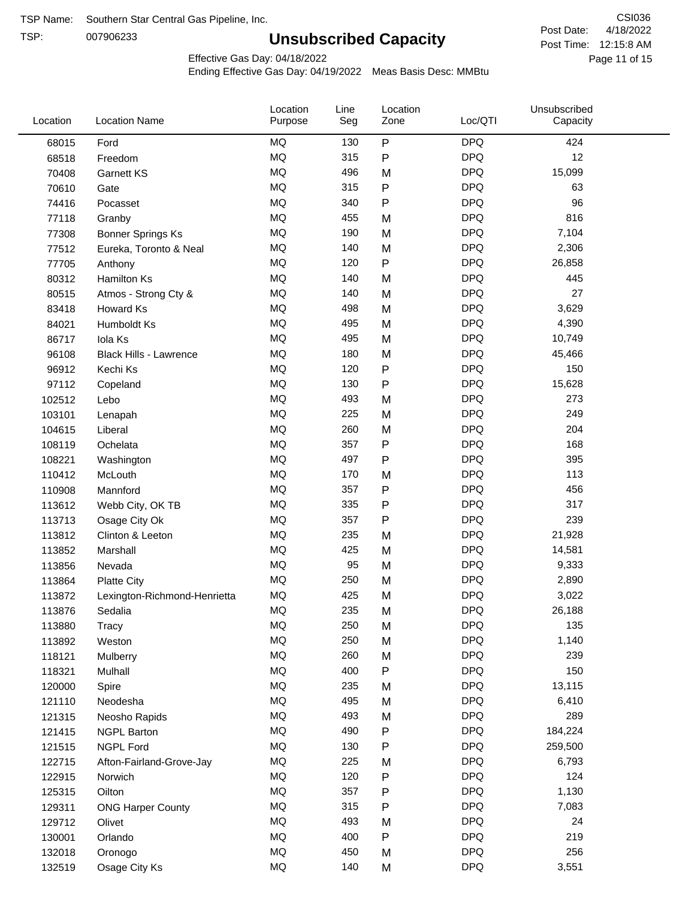TSP:

## **Unsubscribed Capacity**

4/18/2022 Page 11 of 15 Post Time: 12:15:8 AM CSI036 Post Date:

Effective Gas Day: 04/18/2022

| Location | <b>Location Name</b>          | Location<br>Purpose | Line<br>Seg | Location<br>Zone | Loc/QTI    | Unsubscribed<br>Capacity |  |
|----------|-------------------------------|---------------------|-------------|------------------|------------|--------------------------|--|
| 68015    | Ford                          | <b>MQ</b>           | 130         | $\sf P$          | <b>DPQ</b> | 424                      |  |
| 68518    | Freedom                       | <b>MQ</b>           | 315         | ${\sf P}$        | <b>DPQ</b> | 12                       |  |
| 70408    | <b>Garnett KS</b>             | <b>MQ</b>           | 496         | M                | <b>DPQ</b> | 15,099                   |  |
| 70610    | Gate                          | <b>MQ</b>           | 315         | ${\sf P}$        | <b>DPQ</b> | 63                       |  |
| 74416    | Pocasset                      | <b>MQ</b>           | 340         | $\mathsf{P}$     | <b>DPQ</b> | 96                       |  |
| 77118    | Granby                        | <b>MQ</b>           | 455         | M                | <b>DPQ</b> | 816                      |  |
| 77308    | <b>Bonner Springs Ks</b>      | <b>MQ</b>           | 190         | M                | <b>DPQ</b> | 7,104                    |  |
| 77512    | Eureka, Toronto & Neal        | <b>MQ</b>           | 140         | M                | <b>DPQ</b> | 2,306                    |  |
| 77705    | Anthony                       | <b>MQ</b>           | 120         | ${\sf P}$        | <b>DPQ</b> | 26,858                   |  |
| 80312    | <b>Hamilton Ks</b>            | <b>MQ</b>           | 140         | M                | <b>DPQ</b> | 445                      |  |
| 80515    | Atmos - Strong Cty &          | <b>MQ</b>           | 140         | M                | <b>DPQ</b> | 27                       |  |
| 83418    | Howard Ks                     | <b>MQ</b>           | 498         | M                | <b>DPQ</b> | 3,629                    |  |
| 84021    | Humboldt Ks                   | <b>MQ</b>           | 495         | M                | <b>DPQ</b> | 4,390                    |  |
| 86717    | Iola Ks                       | <b>MQ</b>           | 495         | M                | <b>DPQ</b> | 10,749                   |  |
| 96108    | <b>Black Hills - Lawrence</b> | <b>MQ</b>           | 180         | M                | <b>DPQ</b> | 45,466                   |  |
| 96912    | Kechi Ks                      | <b>MQ</b>           | 120         | ${\sf P}$        | <b>DPQ</b> | 150                      |  |
| 97112    | Copeland                      | <b>MQ</b>           | 130         | $\mathsf{P}$     | <b>DPQ</b> | 15,628                   |  |
| 102512   | Lebo                          | <b>MQ</b>           | 493         | M                | <b>DPQ</b> | 273                      |  |
| 103101   | Lenapah                       | <b>MQ</b>           | 225         | M                | <b>DPQ</b> | 249                      |  |
| 104615   | Liberal                       | <b>MQ</b>           | 260         | M                | <b>DPQ</b> | 204                      |  |
| 108119   | Ochelata                      | MQ                  | 357         | ${\sf P}$        | <b>DPQ</b> | 168                      |  |
| 108221   | Washington                    | <b>MQ</b>           | 497         | $\mathsf{P}$     | <b>DPQ</b> | 395                      |  |
| 110412   | McLouth                       | <b>MQ</b>           | 170         | M                | <b>DPQ</b> | 113                      |  |
| 110908   | Mannford                      | <b>MQ</b>           | 357         | ${\sf P}$        | <b>DPQ</b> | 456                      |  |
| 113612   | Webb City, OK TB              | <b>MQ</b>           | 335         | P                | <b>DPQ</b> | 317                      |  |
| 113713   | Osage City Ok                 | <b>MQ</b>           | 357         | ${\sf P}$        | <b>DPQ</b> | 239                      |  |
| 113812   | Clinton & Leeton              | <b>MQ</b>           | 235         | M                | <b>DPQ</b> | 21,928                   |  |
| 113852   | Marshall                      | <b>MQ</b>           | 425         | M                | <b>DPQ</b> | 14,581                   |  |
| 113856   | Nevada                        | MQ                  | 95          | M                | <b>DPQ</b> | 9,333                    |  |
| 113864   | <b>Platte City</b>            | MQ                  | 250         | M                | <b>DPQ</b> | 2,890                    |  |
| 113872   | Lexington-Richmond-Henrietta  | MQ                  | 425         | M                | <b>DPQ</b> | 3,022                    |  |
| 113876   | Sedalia                       | <b>MQ</b>           | 235         | M                | <b>DPQ</b> | 26,188                   |  |
| 113880   | Tracy                         | MQ                  | 250         | M                | <b>DPQ</b> | 135                      |  |
| 113892   | Weston                        | MQ                  | 250         | M                | <b>DPQ</b> | 1,140                    |  |
| 118121   | Mulberry                      | <b>MQ</b>           | 260         | M                | <b>DPQ</b> | 239                      |  |
| 118321   | Mulhall                       | MQ                  | 400         | ${\sf P}$        | <b>DPQ</b> | 150                      |  |
| 120000   | Spire                         | <b>MQ</b>           | 235         | M                | <b>DPQ</b> | 13,115                   |  |
| 121110   | Neodesha                      | MQ                  | 495         | M                | <b>DPQ</b> | 6,410                    |  |
| 121315   | Neosho Rapids                 | MQ                  | 493         | M                | <b>DPQ</b> | 289                      |  |
| 121415   | <b>NGPL Barton</b>            | MQ                  | 490         | P                | <b>DPQ</b> | 184,224                  |  |
| 121515   | <b>NGPL Ford</b>              | MQ                  | 130         | P                | <b>DPQ</b> | 259,500                  |  |
| 122715   | Afton-Fairland-Grove-Jay      | MQ                  | 225         | M                | <b>DPQ</b> | 6,793                    |  |
| 122915   | Norwich                       | MQ                  | 120         | P                | <b>DPQ</b> | 124                      |  |
| 125315   | Oilton                        | <b>MQ</b>           | 357         | P                | <b>DPQ</b> | 1,130                    |  |
| 129311   | <b>ONG Harper County</b>      | <b>MQ</b>           | 315         | P                | <b>DPQ</b> | 7,083                    |  |
| 129712   | Olivet                        | MQ                  | 493         | M                | <b>DPQ</b> | 24                       |  |
| 130001   | Orlando                       | MQ                  | 400         | ${\sf P}$        | <b>DPQ</b> | 219                      |  |
| 132018   | Oronogo                       | MQ                  | 450         | M                | <b>DPQ</b> | 256                      |  |
| 132519   | Osage City Ks                 | MQ                  | 140         | M                | <b>DPQ</b> | 3,551                    |  |
|          |                               |                     |             |                  |            |                          |  |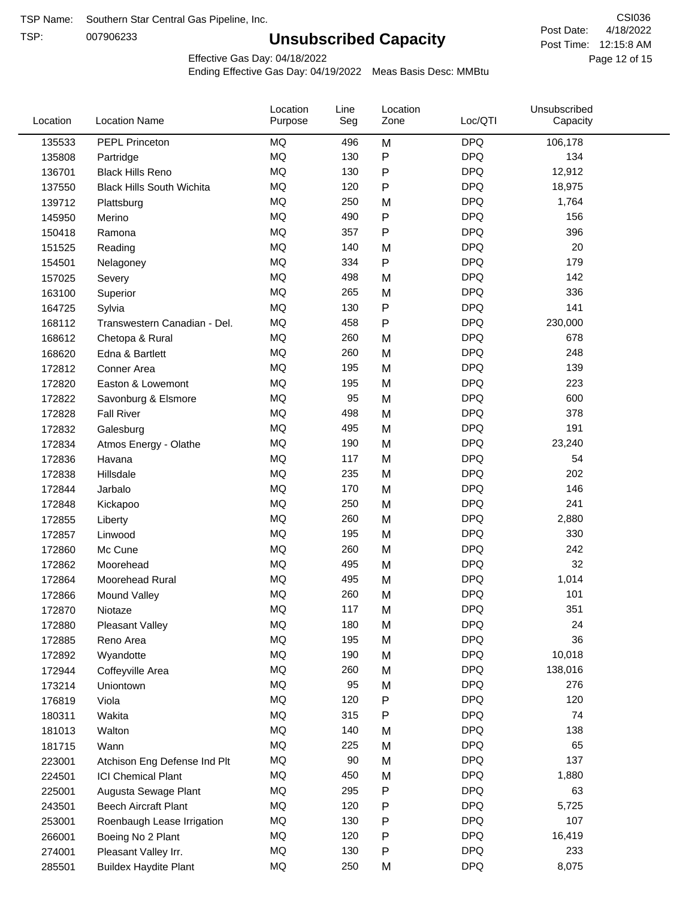TSP:

## **Unsubscribed Capacity**

4/18/2022 Page 12 of 15 Post Time: 12:15:8 AM CSI036 Post Date:

Effective Gas Day: 04/18/2022

| Location | <b>Location Name</b>             | Location<br>Purpose | Line<br>Seg | Location<br>Zone | Loc/QTI    | Unsubscribed<br>Capacity |  |
|----------|----------------------------------|---------------------|-------------|------------------|------------|--------------------------|--|
| 135533   | PEPL Princeton                   | MQ                  | 496         | M                | <b>DPQ</b> | 106,178                  |  |
| 135808   | Partridge                        | MQ                  | 130         | P                | <b>DPQ</b> | 134                      |  |
| 136701   | <b>Black Hills Reno</b>          | MQ                  | 130         | P                | <b>DPQ</b> | 12,912                   |  |
| 137550   | <b>Black Hills South Wichita</b> | MQ                  | 120         | P                | <b>DPQ</b> | 18,975                   |  |
| 139712   | Plattsburg                       | MQ                  | 250         | M                | <b>DPQ</b> | 1,764                    |  |
| 145950   | Merino                           | MQ                  | 490         | P                | <b>DPQ</b> | 156                      |  |
| 150418   | Ramona                           | MQ                  | 357         | Ρ                | <b>DPQ</b> | 396                      |  |
| 151525   | Reading                          | MQ                  | 140         | M                | <b>DPQ</b> | 20                       |  |
| 154501   | Nelagoney                        | MQ                  | 334         | P                | <b>DPQ</b> | 179                      |  |
| 157025   | Severy                           | MQ                  | 498         | M                | <b>DPQ</b> | 142                      |  |
| 163100   | Superior                         | MQ                  | 265         | M                | <b>DPQ</b> | 336                      |  |
| 164725   | Sylvia                           | MQ                  | 130         | P                | <b>DPQ</b> | 141                      |  |
| 168112   | Transwestern Canadian - Del.     | MQ                  | 458         | P                | <b>DPQ</b> | 230,000                  |  |
| 168612   | Chetopa & Rural                  | MQ                  | 260         | M                | <b>DPQ</b> | 678                      |  |
| 168620   | Edna & Bartlett                  | MQ                  | 260         | M                | <b>DPQ</b> | 248                      |  |
| 172812   | Conner Area                      | MQ                  | 195         | M                | <b>DPQ</b> | 139                      |  |
| 172820   | Easton & Lowemont                | MQ                  | 195         | M                | <b>DPQ</b> | 223                      |  |
| 172822   | Savonburg & Elsmore              | MQ                  | 95          | M                | <b>DPQ</b> | 600                      |  |
| 172828   | <b>Fall River</b>                | MQ                  | 498         | M                | <b>DPQ</b> | 378                      |  |
| 172832   | Galesburg                        | <b>MQ</b>           | 495         | M                | <b>DPQ</b> | 191                      |  |
| 172834   | Atmos Energy - Olathe            | MQ                  | 190         | M                | <b>DPQ</b> | 23,240                   |  |
| 172836   | Havana                           | MQ                  | 117         | M                | <b>DPQ</b> | 54                       |  |
| 172838   | Hillsdale                        | MQ                  | 235         | M                | <b>DPQ</b> | 202                      |  |
| 172844   | Jarbalo                          | MQ                  | 170         | M                | <b>DPQ</b> | 146                      |  |
| 172848   | Kickapoo                         | MQ                  | 250         | M                | <b>DPQ</b> | 241                      |  |
| 172855   | Liberty                          | MQ                  | 260         | M                | <b>DPQ</b> | 2,880                    |  |
| 172857   | Linwood                          | MQ                  | 195         | M                | <b>DPQ</b> | 330                      |  |
| 172860   | Mc Cune                          | MQ                  | 260         | M                | <b>DPQ</b> | 242                      |  |
| 172862   | Moorehead                        | MQ                  | 495         | M                | <b>DPQ</b> | 32                       |  |
| 172864   | Moorehead Rural                  | MQ                  | 495         | M                | <b>DPQ</b> | 1,014                    |  |
| 172866   | <b>Mound Valley</b>              | MQ                  | 260         | M                | <b>DPQ</b> | 101                      |  |
| 172870   | Niotaze                          | MQ                  | 117         | M                | <b>DPQ</b> | 351                      |  |
| 172880   | <b>Pleasant Valley</b>           | MQ                  | 180         | M                | <b>DPQ</b> | 24                       |  |
| 172885   | Reno Area                        | MQ                  | 195         | M                | <b>DPQ</b> | 36                       |  |
| 172892   | Wyandotte                        | MQ                  | 190         | M                | <b>DPQ</b> | 10,018                   |  |
| 172944   | Coffeyville Area                 | MQ                  | 260         | M                | <b>DPQ</b> | 138,016                  |  |
| 173214   | Uniontown                        | MQ                  | 95          | M                | <b>DPQ</b> | 276                      |  |
| 176819   | Viola                            | MQ                  | 120         | P                | <b>DPQ</b> | 120                      |  |
| 180311   | Wakita                           | MQ                  | 315         | Ρ                | <b>DPQ</b> | 74                       |  |
| 181013   | Walton                           | MQ                  | 140         | M                | <b>DPQ</b> | 138                      |  |
| 181715   | Wann                             | MQ                  | 225         | M                | <b>DPQ</b> | 65                       |  |
| 223001   | Atchison Eng Defense Ind Plt     | MQ                  | 90          | M                | <b>DPQ</b> | 137                      |  |
| 224501   | <b>ICI Chemical Plant</b>        | MQ                  | 450         | M                | <b>DPQ</b> | 1,880                    |  |
| 225001   | Augusta Sewage Plant             | MQ                  | 295         | P                | <b>DPQ</b> | 63                       |  |
| 243501   | <b>Beech Aircraft Plant</b>      | MQ                  | 120         | P                | <b>DPQ</b> | 5,725                    |  |
| 253001   | Roenbaugh Lease Irrigation       | MQ                  | 130         | P                | <b>DPQ</b> | 107                      |  |
| 266001   | Boeing No 2 Plant                | MQ                  | 120         | P                | <b>DPQ</b> | 16,419                   |  |
| 274001   | Pleasant Valley Irr.             | MQ                  | 130         | P                | <b>DPQ</b> | 233                      |  |
| 285501   | <b>Buildex Haydite Plant</b>     | MQ                  | 250         | M                | <b>DPQ</b> | 8,075                    |  |
|          |                                  |                     |             |                  |            |                          |  |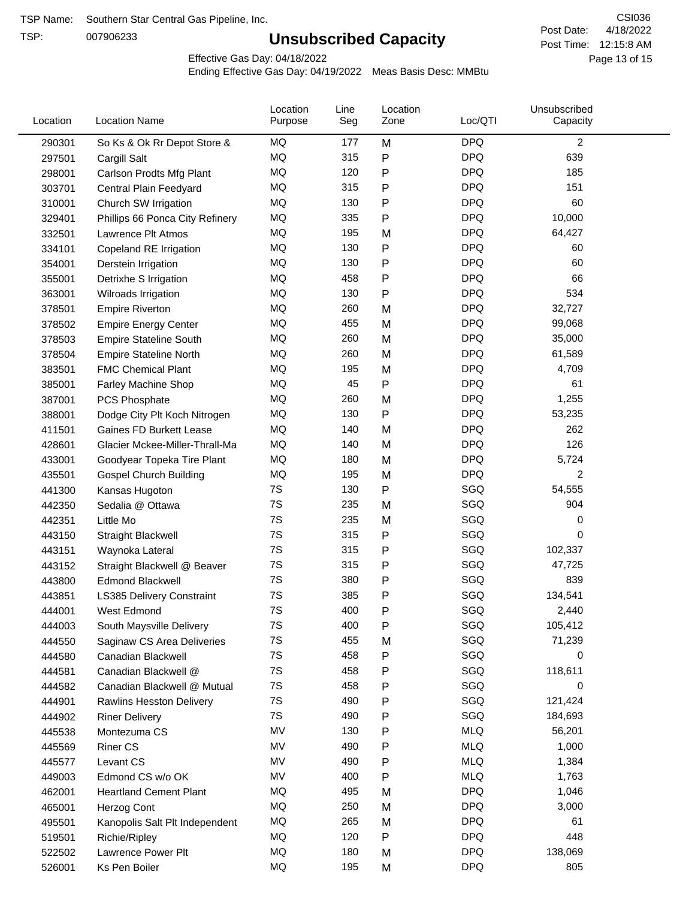TSP:

## **Unsubscribed Capacity**

4/18/2022 Page 13 of 15 Post Time: 12:15:8 AM CSI036 Post Date:

Effective Gas Day: 04/18/2022

| Location | <b>Location Name</b>             | Location<br>Purpose | Line<br>Seg | Location<br>Zone | Loc/QTI    | Unsubscribed<br>Capacity |  |
|----------|----------------------------------|---------------------|-------------|------------------|------------|--------------------------|--|
| 290301   | So Ks & Ok Rr Depot Store &      | MQ                  | 177         | M                | <b>DPQ</b> | $\overline{c}$           |  |
| 297501   | Cargill Salt                     | <b>MQ</b>           | 315         | Ρ                | <b>DPQ</b> | 639                      |  |
| 298001   | Carlson Prodts Mfg Plant         | <b>MQ</b>           | 120         | Ρ                | <b>DPQ</b> | 185                      |  |
| 303701   | Central Plain Feedyard           | <b>MQ</b>           | 315         | Ρ                | <b>DPQ</b> | 151                      |  |
| 310001   | Church SW Irrigation             | <b>MQ</b>           | 130         | Ρ                | <b>DPQ</b> | 60                       |  |
| 329401   | Phillips 66 Ponca City Refinery  | MQ                  | 335         | Ρ                | <b>DPQ</b> | 10,000                   |  |
| 332501   | Lawrence Plt Atmos               | MQ                  | 195         | M                | <b>DPQ</b> | 64,427                   |  |
| 334101   | Copeland RE Irrigation           | MQ                  | 130         | P                | <b>DPQ</b> | 60                       |  |
| 354001   | Derstein Irrigation              | MQ                  | 130         | P                | <b>DPQ</b> | 60                       |  |
| 355001   | Detrixhe S Irrigation            | MQ                  | 458         | Ρ                | <b>DPQ</b> | 66                       |  |
| 363001   | Wilroads Irrigation              | MQ                  | 130         | P                | <b>DPQ</b> | 534                      |  |
| 378501   | <b>Empire Riverton</b>           | MQ                  | 260         | M                | <b>DPQ</b> | 32,727                   |  |
| 378502   | <b>Empire Energy Center</b>      | MQ                  | 455         | M                | <b>DPQ</b> | 99,068                   |  |
| 378503   | <b>Empire Stateline South</b>    | MQ                  | 260         | M                | <b>DPQ</b> | 35,000                   |  |
| 378504   | <b>Empire Stateline North</b>    | MQ                  | 260         | M                | <b>DPQ</b> | 61,589                   |  |
| 383501   | <b>FMC Chemical Plant</b>        | MQ                  | 195         | M                | <b>DPQ</b> | 4,709                    |  |
| 385001   | Farley Machine Shop              | MQ                  | 45          | Ρ                | <b>DPQ</b> | 61                       |  |
| 387001   | <b>PCS Phosphate</b>             | MQ                  | 260         | M                | <b>DPQ</b> | 1,255                    |  |
| 388001   | Dodge City Plt Koch Nitrogen     | MQ                  | 130         | Ρ                | <b>DPQ</b> | 53,235                   |  |
| 411501   | Gaines FD Burkett Lease          | MQ                  | 140         | M                | <b>DPQ</b> | 262                      |  |
| 428601   | Glacier Mckee-Miller-Thrall-Ma   | MQ                  | 140         | M                | <b>DPQ</b> | 126                      |  |
| 433001   | Goodyear Topeka Tire Plant       | MQ                  | 180         | M                | <b>DPQ</b> | 5,724                    |  |
| 435501   | <b>Gospel Church Building</b>    | MQ                  | 195         | M                | <b>DPQ</b> | $\overline{c}$           |  |
| 441300   | Kansas Hugoton                   | 7S                  | 130         | Ρ                | SGQ        | 54,555                   |  |
| 442350   | Sedalia @ Ottawa                 | 7S                  | 235         | M                | SGQ        | 904                      |  |
| 442351   | Little Mo                        | 7S                  | 235         | M                | SGQ        | 0                        |  |
| 443150   | Straight Blackwell               | 7S                  | 315         | Ρ                | SGQ        | 0                        |  |
| 443151   | Waynoka Lateral                  | 7S                  | 315         | Ρ                | SGQ        | 102,337                  |  |
| 443152   | Straight Blackwell @ Beaver      | 7S                  | 315         | P                | SGQ        | 47,725                   |  |
| 443800   | <b>Edmond Blackwell</b>          | 7S                  | 380         | Ρ                | SGQ        | 839                      |  |
| 443851   | <b>LS385 Delivery Constraint</b> | 7S                  | 385         | Ρ                | SGQ        | 134,541                  |  |
| 444001   | West Edmond                      | 7S                  | 400         | Ρ                | SGQ        | 2,440                    |  |
| 444003   | South Maysville Delivery         | 7S                  | 400         | Ρ                | SGQ        | 105,412                  |  |
| 444550   | Saginaw CS Area Deliveries       | 7S                  | 455         | M                | SGQ        | 71,239                   |  |
| 444580   | Canadian Blackwell               | 7S                  | 458         | Ρ                | SGQ        | 0                        |  |
| 444581   | Canadian Blackwell @             | 7S                  | 458         | Ρ                | SGQ        | 118,611                  |  |
| 444582   | Canadian Blackwell @ Mutual      | 7S                  | 458         | Ρ                | SGQ        | 0                        |  |
| 444901   | <b>Rawlins Hesston Delivery</b>  | 7S                  | 490         | Ρ                | SGQ        | 121,424                  |  |
| 444902   | <b>Riner Delivery</b>            | 7S                  | 490         | Ρ                | SGQ        | 184,693                  |  |
| 445538   | Montezuma CS                     | MV                  | 130         | Ρ                | <b>MLQ</b> | 56,201                   |  |
| 445569   | <b>Riner CS</b>                  | MV                  | 490         | Ρ                | <b>MLQ</b> | 1,000                    |  |
| 445577   | Levant CS                        | MV                  | 490         | Ρ                | <b>MLQ</b> | 1,384                    |  |
| 449003   | Edmond CS w/o OK                 | MV                  | 400         | Ρ                | <b>MLQ</b> | 1,763                    |  |
| 462001   | <b>Heartland Cement Plant</b>    | MQ                  | 495         | M                | <b>DPQ</b> | 1,046                    |  |
| 465001   | Herzog Cont                      | MQ                  | 250         | M                | <b>DPQ</b> | 3,000                    |  |
| 495501   | Kanopolis Salt Plt Independent   | MQ                  | 265         | M                | <b>DPQ</b> | 61                       |  |
| 519501   | Richie/Ripley                    | MQ                  | 120         | Ρ                | <b>DPQ</b> | 448                      |  |
| 522502   | Lawrence Power Plt               | MQ                  | 180         | M                | <b>DPQ</b> | 138,069                  |  |
| 526001   | Ks Pen Boiler                    | MQ                  | 195         | M                | <b>DPQ</b> | 805                      |  |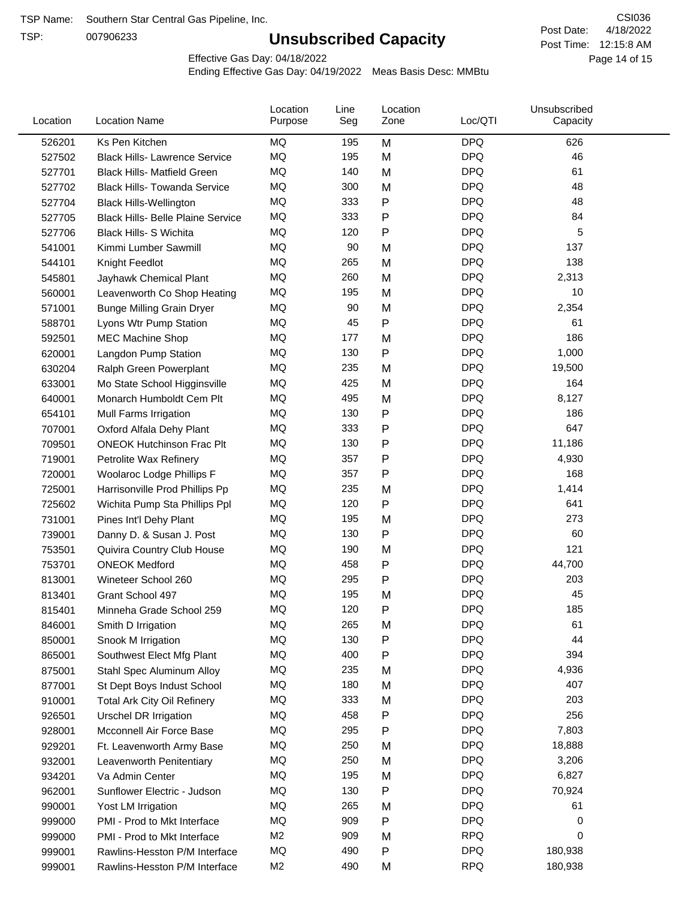TSP:

## **Unsubscribed Capacity**

4/18/2022 Page 14 of 15 Post Time: 12:15:8 AM CSI036 Post Date:

Effective Gas Day: 04/18/2022

| <b>MQ</b><br><b>DPQ</b><br>526201<br>Ks Pen Kitchen<br>195<br>M<br>626<br><b>MQ</b><br>195<br><b>DPQ</b><br>46<br>M<br>527502<br><b>Black Hills- Lawrence Service</b><br><b>MQ</b><br>140<br>M<br><b>DPQ</b><br>61<br>527701<br><b>Black Hills- Matfield Green</b><br><b>MQ</b><br><b>DPQ</b><br>300<br>48<br>M<br><b>Black Hills- Towanda Service</b><br>527702<br><b>MQ</b><br>P<br><b>DPQ</b><br>333<br>48<br>527704<br><b>Black Hills-Wellington</b><br><b>DPQ</b><br>MQ<br>333<br>P<br>84<br>527705<br><b>Black Hills- Belle Plaine Service</b><br>MQ<br>120<br>Ρ<br><b>DPQ</b><br>5<br>527706<br>Black Hills- S Wichita<br><b>DPQ</b><br>MQ<br>137<br>90<br>541001<br>Kimmi Lumber Sawmill<br>M<br>MQ<br>265<br><b>DPQ</b><br>138<br>M<br>544101<br>Knight Feedlot<br>MQ<br>260<br>M<br><b>DPQ</b><br>2,313<br>545801<br>Jayhawk Chemical Plant<br><b>MQ</b><br><b>DPQ</b><br>195<br>10<br>M<br>560001<br>Leavenworth Co Shop Heating<br><b>DPQ</b><br>MQ<br>90<br>2,354<br>M<br>571001<br><b>Bunge Milling Grain Dryer</b><br><b>MQ</b><br><b>DPQ</b><br>45<br>P<br>61<br>Lyons Wtr Pump Station<br>588701<br><b>DPQ</b><br>MQ<br>M<br>186<br>177<br>592501<br><b>MEC Machine Shop</b><br><b>DPQ</b><br>MQ<br>1,000<br>130<br>Ρ<br>620001<br>Langdon Pump Station<br>MQ<br><b>DPQ</b><br>19,500<br>235<br>M<br>630204<br>Ralph Green Powerplant<br><b>DPQ</b><br>MQ<br>164<br>425<br>633001<br>Mo State School Higginsville<br>M<br><b>DPQ</b><br>MQ<br>495<br>M<br>8,127<br>640001<br>Monarch Humboldt Cem Plt<br><b>DPQ</b><br>MQ<br>130<br>P<br>186<br>654101<br>Mull Farms Irrigation<br>P<br><b>DPQ</b><br>647<br>MQ<br>333<br>707001<br>Oxford Alfala Dehy Plant<br>MQ<br>130<br>P<br><b>DPQ</b><br>11,186<br>709501<br><b>ONEOK Hutchinson Frac Plt</b><br><b>DPQ</b><br>MQ<br>357<br>Ρ<br>4,930<br>719001<br>Petrolite Wax Refinery<br><b>DPQ</b><br>MQ<br>357<br>Ρ<br>168<br>720001<br>Woolaroc Lodge Phillips F<br>MQ<br>235<br><b>DPQ</b><br>1,414<br>M<br>725001<br>Harrisonville Prod Phillips Pp<br>MQ<br>120<br>Ρ<br><b>DPQ</b><br>641<br>725602<br>Wichita Pump Sta Phillips Ppl<br>MQ<br><b>DPQ</b><br>273<br>195<br>731001<br>M<br>Pines Int'l Dehy Plant<br><b>MQ</b><br>P<br><b>DPQ</b><br>130<br>60<br>739001<br>Danny D. & Susan J. Post<br>MQ<br><b>DPQ</b><br>121<br>190<br>M<br>753501<br>Quivira Country Club House<br>MQ<br>Ρ<br><b>DPQ</b><br>458<br>44,700<br>753701<br><b>ONEOK Medford</b><br>MQ<br><b>DPQ</b><br>203<br>295<br>Ρ<br>813001<br>Wineteer School 260<br><b>DPQ</b><br>MQ<br>195<br>45<br>M<br>813401<br>Grant School 497<br><b>DPQ</b><br><b>MQ</b><br>120<br>185<br>Ρ<br>815401<br>Minneha Grade School 259<br>MQ<br>265<br><b>DPQ</b><br>61<br>M<br>846001<br>Smith D Irrigation<br>MQ<br>130<br><b>DPQ</b><br>44<br>Ρ<br>850001<br>Snook M Irrigation<br>MQ<br>400<br>Ρ<br><b>DPQ</b><br>394<br>865001<br>Southwest Elect Mfg Plant<br><b>DPQ</b><br>MQ<br>235<br>4,936<br>875001<br>Stahl Spec Aluminum Alloy<br>M<br><b>DPQ</b><br>MQ<br>180<br>407<br>M<br>877001<br>St Dept Boys Indust School<br>MQ<br>333<br><b>DPQ</b><br>203<br>M<br>910001<br><b>Total Ark City Oil Refinery</b><br>256<br>MQ<br>458<br><b>DPQ</b><br>Ρ<br>926501<br>Urschel DR Irrigation<br>MQ<br>295<br><b>DPQ</b><br>7,803<br>Ρ<br>928001<br>Mcconnell Air Force Base<br><b>DPQ</b><br>MQ<br>250<br>18,888<br>Ft. Leavenworth Army Base<br>M<br>929201<br>MQ<br><b>DPQ</b><br>3,206<br>250<br>M<br>932001<br>Leavenworth Penitentiary<br>MQ<br>195<br><b>DPQ</b><br>6,827<br>M<br>934201<br>Va Admin Center<br>MQ<br>130<br>Ρ<br><b>DPQ</b><br>70,924<br>962001<br>Sunflower Electric - Judson<br><b>DPQ</b><br>MQ<br>265<br>61<br>990001<br>Yost LM Irrigation<br>M<br><b>DPQ</b><br>MQ<br>909<br>Ρ<br>999000<br>PMI - Prod to Mkt Interface<br>0<br>M <sub>2</sub><br><b>RPQ</b><br>909<br>0<br>999000<br>PMI - Prod to Mkt Interface<br>M<br>MQ<br>490<br><b>DPQ</b><br>Ρ<br>180,938<br>999001<br>Rawlins-Hesston P/M Interface | Location | <b>Location Name</b>          | Location<br>Purpose | Line<br>Seg | Location<br>Zone | Loc/QTI    | Unsubscribed<br>Capacity |  |
|------------------------------------------------------------------------------------------------------------------------------------------------------------------------------------------------------------------------------------------------------------------------------------------------------------------------------------------------------------------------------------------------------------------------------------------------------------------------------------------------------------------------------------------------------------------------------------------------------------------------------------------------------------------------------------------------------------------------------------------------------------------------------------------------------------------------------------------------------------------------------------------------------------------------------------------------------------------------------------------------------------------------------------------------------------------------------------------------------------------------------------------------------------------------------------------------------------------------------------------------------------------------------------------------------------------------------------------------------------------------------------------------------------------------------------------------------------------------------------------------------------------------------------------------------------------------------------------------------------------------------------------------------------------------------------------------------------------------------------------------------------------------------------------------------------------------------------------------------------------------------------------------------------------------------------------------------------------------------------------------------------------------------------------------------------------------------------------------------------------------------------------------------------------------------------------------------------------------------------------------------------------------------------------------------------------------------------------------------------------------------------------------------------------------------------------------------------------------------------------------------------------------------------------------------------------------------------------------------------------------------------------------------------------------------------------------------------------------------------------------------------------------------------------------------------------------------------------------------------------------------------------------------------------------------------------------------------------------------------------------------------------------------------------------------------------------------------------------------------------------------------------------------------------------------------------------------------------------------------------------------------------------------------------------------------------------------------------------------------------------------------------------------------------------------------------------------------------------------------------------------------------------------------------------------------------------------------------------------------------------------------------------------------------------------------------------------------------------------------------------------------------------------------------------------------------------------------------------------------------------------------------------------------------------------------------------------------------------|----------|-------------------------------|---------------------|-------------|------------------|------------|--------------------------|--|
|                                                                                                                                                                                                                                                                                                                                                                                                                                                                                                                                                                                                                                                                                                                                                                                                                                                                                                                                                                                                                                                                                                                                                                                                                                                                                                                                                                                                                                                                                                                                                                                                                                                                                                                                                                                                                                                                                                                                                                                                                                                                                                                                                                                                                                                                                                                                                                                                                                                                                                                                                                                                                                                                                                                                                                                                                                                                                                                                                                                                                                                                                                                                                                                                                                                                                                                                                                                                                                                                                                                                                                                                                                                                                                                                                                                                                                                                                                                                                                        |          |                               |                     |             |                  |            |                          |  |
|                                                                                                                                                                                                                                                                                                                                                                                                                                                                                                                                                                                                                                                                                                                                                                                                                                                                                                                                                                                                                                                                                                                                                                                                                                                                                                                                                                                                                                                                                                                                                                                                                                                                                                                                                                                                                                                                                                                                                                                                                                                                                                                                                                                                                                                                                                                                                                                                                                                                                                                                                                                                                                                                                                                                                                                                                                                                                                                                                                                                                                                                                                                                                                                                                                                                                                                                                                                                                                                                                                                                                                                                                                                                                                                                                                                                                                                                                                                                                                        |          |                               |                     |             |                  |            |                          |  |
|                                                                                                                                                                                                                                                                                                                                                                                                                                                                                                                                                                                                                                                                                                                                                                                                                                                                                                                                                                                                                                                                                                                                                                                                                                                                                                                                                                                                                                                                                                                                                                                                                                                                                                                                                                                                                                                                                                                                                                                                                                                                                                                                                                                                                                                                                                                                                                                                                                                                                                                                                                                                                                                                                                                                                                                                                                                                                                                                                                                                                                                                                                                                                                                                                                                                                                                                                                                                                                                                                                                                                                                                                                                                                                                                                                                                                                                                                                                                                                        |          |                               |                     |             |                  |            |                          |  |
|                                                                                                                                                                                                                                                                                                                                                                                                                                                                                                                                                                                                                                                                                                                                                                                                                                                                                                                                                                                                                                                                                                                                                                                                                                                                                                                                                                                                                                                                                                                                                                                                                                                                                                                                                                                                                                                                                                                                                                                                                                                                                                                                                                                                                                                                                                                                                                                                                                                                                                                                                                                                                                                                                                                                                                                                                                                                                                                                                                                                                                                                                                                                                                                                                                                                                                                                                                                                                                                                                                                                                                                                                                                                                                                                                                                                                                                                                                                                                                        |          |                               |                     |             |                  |            |                          |  |
|                                                                                                                                                                                                                                                                                                                                                                                                                                                                                                                                                                                                                                                                                                                                                                                                                                                                                                                                                                                                                                                                                                                                                                                                                                                                                                                                                                                                                                                                                                                                                                                                                                                                                                                                                                                                                                                                                                                                                                                                                                                                                                                                                                                                                                                                                                                                                                                                                                                                                                                                                                                                                                                                                                                                                                                                                                                                                                                                                                                                                                                                                                                                                                                                                                                                                                                                                                                                                                                                                                                                                                                                                                                                                                                                                                                                                                                                                                                                                                        |          |                               |                     |             |                  |            |                          |  |
|                                                                                                                                                                                                                                                                                                                                                                                                                                                                                                                                                                                                                                                                                                                                                                                                                                                                                                                                                                                                                                                                                                                                                                                                                                                                                                                                                                                                                                                                                                                                                                                                                                                                                                                                                                                                                                                                                                                                                                                                                                                                                                                                                                                                                                                                                                                                                                                                                                                                                                                                                                                                                                                                                                                                                                                                                                                                                                                                                                                                                                                                                                                                                                                                                                                                                                                                                                                                                                                                                                                                                                                                                                                                                                                                                                                                                                                                                                                                                                        |          |                               |                     |             |                  |            |                          |  |
|                                                                                                                                                                                                                                                                                                                                                                                                                                                                                                                                                                                                                                                                                                                                                                                                                                                                                                                                                                                                                                                                                                                                                                                                                                                                                                                                                                                                                                                                                                                                                                                                                                                                                                                                                                                                                                                                                                                                                                                                                                                                                                                                                                                                                                                                                                                                                                                                                                                                                                                                                                                                                                                                                                                                                                                                                                                                                                                                                                                                                                                                                                                                                                                                                                                                                                                                                                                                                                                                                                                                                                                                                                                                                                                                                                                                                                                                                                                                                                        |          |                               |                     |             |                  |            |                          |  |
|                                                                                                                                                                                                                                                                                                                                                                                                                                                                                                                                                                                                                                                                                                                                                                                                                                                                                                                                                                                                                                                                                                                                                                                                                                                                                                                                                                                                                                                                                                                                                                                                                                                                                                                                                                                                                                                                                                                                                                                                                                                                                                                                                                                                                                                                                                                                                                                                                                                                                                                                                                                                                                                                                                                                                                                                                                                                                                                                                                                                                                                                                                                                                                                                                                                                                                                                                                                                                                                                                                                                                                                                                                                                                                                                                                                                                                                                                                                                                                        |          |                               |                     |             |                  |            |                          |  |
|                                                                                                                                                                                                                                                                                                                                                                                                                                                                                                                                                                                                                                                                                                                                                                                                                                                                                                                                                                                                                                                                                                                                                                                                                                                                                                                                                                                                                                                                                                                                                                                                                                                                                                                                                                                                                                                                                                                                                                                                                                                                                                                                                                                                                                                                                                                                                                                                                                                                                                                                                                                                                                                                                                                                                                                                                                                                                                                                                                                                                                                                                                                                                                                                                                                                                                                                                                                                                                                                                                                                                                                                                                                                                                                                                                                                                                                                                                                                                                        |          |                               |                     |             |                  |            |                          |  |
|                                                                                                                                                                                                                                                                                                                                                                                                                                                                                                                                                                                                                                                                                                                                                                                                                                                                                                                                                                                                                                                                                                                                                                                                                                                                                                                                                                                                                                                                                                                                                                                                                                                                                                                                                                                                                                                                                                                                                                                                                                                                                                                                                                                                                                                                                                                                                                                                                                                                                                                                                                                                                                                                                                                                                                                                                                                                                                                                                                                                                                                                                                                                                                                                                                                                                                                                                                                                                                                                                                                                                                                                                                                                                                                                                                                                                                                                                                                                                                        |          |                               |                     |             |                  |            |                          |  |
|                                                                                                                                                                                                                                                                                                                                                                                                                                                                                                                                                                                                                                                                                                                                                                                                                                                                                                                                                                                                                                                                                                                                                                                                                                                                                                                                                                                                                                                                                                                                                                                                                                                                                                                                                                                                                                                                                                                                                                                                                                                                                                                                                                                                                                                                                                                                                                                                                                                                                                                                                                                                                                                                                                                                                                                                                                                                                                                                                                                                                                                                                                                                                                                                                                                                                                                                                                                                                                                                                                                                                                                                                                                                                                                                                                                                                                                                                                                                                                        |          |                               |                     |             |                  |            |                          |  |
|                                                                                                                                                                                                                                                                                                                                                                                                                                                                                                                                                                                                                                                                                                                                                                                                                                                                                                                                                                                                                                                                                                                                                                                                                                                                                                                                                                                                                                                                                                                                                                                                                                                                                                                                                                                                                                                                                                                                                                                                                                                                                                                                                                                                                                                                                                                                                                                                                                                                                                                                                                                                                                                                                                                                                                                                                                                                                                                                                                                                                                                                                                                                                                                                                                                                                                                                                                                                                                                                                                                                                                                                                                                                                                                                                                                                                                                                                                                                                                        |          |                               |                     |             |                  |            |                          |  |
|                                                                                                                                                                                                                                                                                                                                                                                                                                                                                                                                                                                                                                                                                                                                                                                                                                                                                                                                                                                                                                                                                                                                                                                                                                                                                                                                                                                                                                                                                                                                                                                                                                                                                                                                                                                                                                                                                                                                                                                                                                                                                                                                                                                                                                                                                                                                                                                                                                                                                                                                                                                                                                                                                                                                                                                                                                                                                                                                                                                                                                                                                                                                                                                                                                                                                                                                                                                                                                                                                                                                                                                                                                                                                                                                                                                                                                                                                                                                                                        |          |                               |                     |             |                  |            |                          |  |
|                                                                                                                                                                                                                                                                                                                                                                                                                                                                                                                                                                                                                                                                                                                                                                                                                                                                                                                                                                                                                                                                                                                                                                                                                                                                                                                                                                                                                                                                                                                                                                                                                                                                                                                                                                                                                                                                                                                                                                                                                                                                                                                                                                                                                                                                                                                                                                                                                                                                                                                                                                                                                                                                                                                                                                                                                                                                                                                                                                                                                                                                                                                                                                                                                                                                                                                                                                                                                                                                                                                                                                                                                                                                                                                                                                                                                                                                                                                                                                        |          |                               |                     |             |                  |            |                          |  |
|                                                                                                                                                                                                                                                                                                                                                                                                                                                                                                                                                                                                                                                                                                                                                                                                                                                                                                                                                                                                                                                                                                                                                                                                                                                                                                                                                                                                                                                                                                                                                                                                                                                                                                                                                                                                                                                                                                                                                                                                                                                                                                                                                                                                                                                                                                                                                                                                                                                                                                                                                                                                                                                                                                                                                                                                                                                                                                                                                                                                                                                                                                                                                                                                                                                                                                                                                                                                                                                                                                                                                                                                                                                                                                                                                                                                                                                                                                                                                                        |          |                               |                     |             |                  |            |                          |  |
|                                                                                                                                                                                                                                                                                                                                                                                                                                                                                                                                                                                                                                                                                                                                                                                                                                                                                                                                                                                                                                                                                                                                                                                                                                                                                                                                                                                                                                                                                                                                                                                                                                                                                                                                                                                                                                                                                                                                                                                                                                                                                                                                                                                                                                                                                                                                                                                                                                                                                                                                                                                                                                                                                                                                                                                                                                                                                                                                                                                                                                                                                                                                                                                                                                                                                                                                                                                                                                                                                                                                                                                                                                                                                                                                                                                                                                                                                                                                                                        |          |                               |                     |             |                  |            |                          |  |
|                                                                                                                                                                                                                                                                                                                                                                                                                                                                                                                                                                                                                                                                                                                                                                                                                                                                                                                                                                                                                                                                                                                                                                                                                                                                                                                                                                                                                                                                                                                                                                                                                                                                                                                                                                                                                                                                                                                                                                                                                                                                                                                                                                                                                                                                                                                                                                                                                                                                                                                                                                                                                                                                                                                                                                                                                                                                                                                                                                                                                                                                                                                                                                                                                                                                                                                                                                                                                                                                                                                                                                                                                                                                                                                                                                                                                                                                                                                                                                        |          |                               |                     |             |                  |            |                          |  |
|                                                                                                                                                                                                                                                                                                                                                                                                                                                                                                                                                                                                                                                                                                                                                                                                                                                                                                                                                                                                                                                                                                                                                                                                                                                                                                                                                                                                                                                                                                                                                                                                                                                                                                                                                                                                                                                                                                                                                                                                                                                                                                                                                                                                                                                                                                                                                                                                                                                                                                                                                                                                                                                                                                                                                                                                                                                                                                                                                                                                                                                                                                                                                                                                                                                                                                                                                                                                                                                                                                                                                                                                                                                                                                                                                                                                                                                                                                                                                                        |          |                               |                     |             |                  |            |                          |  |
|                                                                                                                                                                                                                                                                                                                                                                                                                                                                                                                                                                                                                                                                                                                                                                                                                                                                                                                                                                                                                                                                                                                                                                                                                                                                                                                                                                                                                                                                                                                                                                                                                                                                                                                                                                                                                                                                                                                                                                                                                                                                                                                                                                                                                                                                                                                                                                                                                                                                                                                                                                                                                                                                                                                                                                                                                                                                                                                                                                                                                                                                                                                                                                                                                                                                                                                                                                                                                                                                                                                                                                                                                                                                                                                                                                                                                                                                                                                                                                        |          |                               |                     |             |                  |            |                          |  |
|                                                                                                                                                                                                                                                                                                                                                                                                                                                                                                                                                                                                                                                                                                                                                                                                                                                                                                                                                                                                                                                                                                                                                                                                                                                                                                                                                                                                                                                                                                                                                                                                                                                                                                                                                                                                                                                                                                                                                                                                                                                                                                                                                                                                                                                                                                                                                                                                                                                                                                                                                                                                                                                                                                                                                                                                                                                                                                                                                                                                                                                                                                                                                                                                                                                                                                                                                                                                                                                                                                                                                                                                                                                                                                                                                                                                                                                                                                                                                                        |          |                               |                     |             |                  |            |                          |  |
|                                                                                                                                                                                                                                                                                                                                                                                                                                                                                                                                                                                                                                                                                                                                                                                                                                                                                                                                                                                                                                                                                                                                                                                                                                                                                                                                                                                                                                                                                                                                                                                                                                                                                                                                                                                                                                                                                                                                                                                                                                                                                                                                                                                                                                                                                                                                                                                                                                                                                                                                                                                                                                                                                                                                                                                                                                                                                                                                                                                                                                                                                                                                                                                                                                                                                                                                                                                                                                                                                                                                                                                                                                                                                                                                                                                                                                                                                                                                                                        |          |                               |                     |             |                  |            |                          |  |
|                                                                                                                                                                                                                                                                                                                                                                                                                                                                                                                                                                                                                                                                                                                                                                                                                                                                                                                                                                                                                                                                                                                                                                                                                                                                                                                                                                                                                                                                                                                                                                                                                                                                                                                                                                                                                                                                                                                                                                                                                                                                                                                                                                                                                                                                                                                                                                                                                                                                                                                                                                                                                                                                                                                                                                                                                                                                                                                                                                                                                                                                                                                                                                                                                                                                                                                                                                                                                                                                                                                                                                                                                                                                                                                                                                                                                                                                                                                                                                        |          |                               |                     |             |                  |            |                          |  |
|                                                                                                                                                                                                                                                                                                                                                                                                                                                                                                                                                                                                                                                                                                                                                                                                                                                                                                                                                                                                                                                                                                                                                                                                                                                                                                                                                                                                                                                                                                                                                                                                                                                                                                                                                                                                                                                                                                                                                                                                                                                                                                                                                                                                                                                                                                                                                                                                                                                                                                                                                                                                                                                                                                                                                                                                                                                                                                                                                                                                                                                                                                                                                                                                                                                                                                                                                                                                                                                                                                                                                                                                                                                                                                                                                                                                                                                                                                                                                                        |          |                               |                     |             |                  |            |                          |  |
|                                                                                                                                                                                                                                                                                                                                                                                                                                                                                                                                                                                                                                                                                                                                                                                                                                                                                                                                                                                                                                                                                                                                                                                                                                                                                                                                                                                                                                                                                                                                                                                                                                                                                                                                                                                                                                                                                                                                                                                                                                                                                                                                                                                                                                                                                                                                                                                                                                                                                                                                                                                                                                                                                                                                                                                                                                                                                                                                                                                                                                                                                                                                                                                                                                                                                                                                                                                                                                                                                                                                                                                                                                                                                                                                                                                                                                                                                                                                                                        |          |                               |                     |             |                  |            |                          |  |
|                                                                                                                                                                                                                                                                                                                                                                                                                                                                                                                                                                                                                                                                                                                                                                                                                                                                                                                                                                                                                                                                                                                                                                                                                                                                                                                                                                                                                                                                                                                                                                                                                                                                                                                                                                                                                                                                                                                                                                                                                                                                                                                                                                                                                                                                                                                                                                                                                                                                                                                                                                                                                                                                                                                                                                                                                                                                                                                                                                                                                                                                                                                                                                                                                                                                                                                                                                                                                                                                                                                                                                                                                                                                                                                                                                                                                                                                                                                                                                        |          |                               |                     |             |                  |            |                          |  |
|                                                                                                                                                                                                                                                                                                                                                                                                                                                                                                                                                                                                                                                                                                                                                                                                                                                                                                                                                                                                                                                                                                                                                                                                                                                                                                                                                                                                                                                                                                                                                                                                                                                                                                                                                                                                                                                                                                                                                                                                                                                                                                                                                                                                                                                                                                                                                                                                                                                                                                                                                                                                                                                                                                                                                                                                                                                                                                                                                                                                                                                                                                                                                                                                                                                                                                                                                                                                                                                                                                                                                                                                                                                                                                                                                                                                                                                                                                                                                                        |          |                               |                     |             |                  |            |                          |  |
|                                                                                                                                                                                                                                                                                                                                                                                                                                                                                                                                                                                                                                                                                                                                                                                                                                                                                                                                                                                                                                                                                                                                                                                                                                                                                                                                                                                                                                                                                                                                                                                                                                                                                                                                                                                                                                                                                                                                                                                                                                                                                                                                                                                                                                                                                                                                                                                                                                                                                                                                                                                                                                                                                                                                                                                                                                                                                                                                                                                                                                                                                                                                                                                                                                                                                                                                                                                                                                                                                                                                                                                                                                                                                                                                                                                                                                                                                                                                                                        |          |                               |                     |             |                  |            |                          |  |
|                                                                                                                                                                                                                                                                                                                                                                                                                                                                                                                                                                                                                                                                                                                                                                                                                                                                                                                                                                                                                                                                                                                                                                                                                                                                                                                                                                                                                                                                                                                                                                                                                                                                                                                                                                                                                                                                                                                                                                                                                                                                                                                                                                                                                                                                                                                                                                                                                                                                                                                                                                                                                                                                                                                                                                                                                                                                                                                                                                                                                                                                                                                                                                                                                                                                                                                                                                                                                                                                                                                                                                                                                                                                                                                                                                                                                                                                                                                                                                        |          |                               |                     |             |                  |            |                          |  |
|                                                                                                                                                                                                                                                                                                                                                                                                                                                                                                                                                                                                                                                                                                                                                                                                                                                                                                                                                                                                                                                                                                                                                                                                                                                                                                                                                                                                                                                                                                                                                                                                                                                                                                                                                                                                                                                                                                                                                                                                                                                                                                                                                                                                                                                                                                                                                                                                                                                                                                                                                                                                                                                                                                                                                                                                                                                                                                                                                                                                                                                                                                                                                                                                                                                                                                                                                                                                                                                                                                                                                                                                                                                                                                                                                                                                                                                                                                                                                                        |          |                               |                     |             |                  |            |                          |  |
|                                                                                                                                                                                                                                                                                                                                                                                                                                                                                                                                                                                                                                                                                                                                                                                                                                                                                                                                                                                                                                                                                                                                                                                                                                                                                                                                                                                                                                                                                                                                                                                                                                                                                                                                                                                                                                                                                                                                                                                                                                                                                                                                                                                                                                                                                                                                                                                                                                                                                                                                                                                                                                                                                                                                                                                                                                                                                                                                                                                                                                                                                                                                                                                                                                                                                                                                                                                                                                                                                                                                                                                                                                                                                                                                                                                                                                                                                                                                                                        |          |                               |                     |             |                  |            |                          |  |
|                                                                                                                                                                                                                                                                                                                                                                                                                                                                                                                                                                                                                                                                                                                                                                                                                                                                                                                                                                                                                                                                                                                                                                                                                                                                                                                                                                                                                                                                                                                                                                                                                                                                                                                                                                                                                                                                                                                                                                                                                                                                                                                                                                                                                                                                                                                                                                                                                                                                                                                                                                                                                                                                                                                                                                                                                                                                                                                                                                                                                                                                                                                                                                                                                                                                                                                                                                                                                                                                                                                                                                                                                                                                                                                                                                                                                                                                                                                                                                        |          |                               |                     |             |                  |            |                          |  |
|                                                                                                                                                                                                                                                                                                                                                                                                                                                                                                                                                                                                                                                                                                                                                                                                                                                                                                                                                                                                                                                                                                                                                                                                                                                                                                                                                                                                                                                                                                                                                                                                                                                                                                                                                                                                                                                                                                                                                                                                                                                                                                                                                                                                                                                                                                                                                                                                                                                                                                                                                                                                                                                                                                                                                                                                                                                                                                                                                                                                                                                                                                                                                                                                                                                                                                                                                                                                                                                                                                                                                                                                                                                                                                                                                                                                                                                                                                                                                                        |          |                               |                     |             |                  |            |                          |  |
|                                                                                                                                                                                                                                                                                                                                                                                                                                                                                                                                                                                                                                                                                                                                                                                                                                                                                                                                                                                                                                                                                                                                                                                                                                                                                                                                                                                                                                                                                                                                                                                                                                                                                                                                                                                                                                                                                                                                                                                                                                                                                                                                                                                                                                                                                                                                                                                                                                                                                                                                                                                                                                                                                                                                                                                                                                                                                                                                                                                                                                                                                                                                                                                                                                                                                                                                                                                                                                                                                                                                                                                                                                                                                                                                                                                                                                                                                                                                                                        |          |                               |                     |             |                  |            |                          |  |
|                                                                                                                                                                                                                                                                                                                                                                                                                                                                                                                                                                                                                                                                                                                                                                                                                                                                                                                                                                                                                                                                                                                                                                                                                                                                                                                                                                                                                                                                                                                                                                                                                                                                                                                                                                                                                                                                                                                                                                                                                                                                                                                                                                                                                                                                                                                                                                                                                                                                                                                                                                                                                                                                                                                                                                                                                                                                                                                                                                                                                                                                                                                                                                                                                                                                                                                                                                                                                                                                                                                                                                                                                                                                                                                                                                                                                                                                                                                                                                        |          |                               |                     |             |                  |            |                          |  |
|                                                                                                                                                                                                                                                                                                                                                                                                                                                                                                                                                                                                                                                                                                                                                                                                                                                                                                                                                                                                                                                                                                                                                                                                                                                                                                                                                                                                                                                                                                                                                                                                                                                                                                                                                                                                                                                                                                                                                                                                                                                                                                                                                                                                                                                                                                                                                                                                                                                                                                                                                                                                                                                                                                                                                                                                                                                                                                                                                                                                                                                                                                                                                                                                                                                                                                                                                                                                                                                                                                                                                                                                                                                                                                                                                                                                                                                                                                                                                                        |          |                               |                     |             |                  |            |                          |  |
|                                                                                                                                                                                                                                                                                                                                                                                                                                                                                                                                                                                                                                                                                                                                                                                                                                                                                                                                                                                                                                                                                                                                                                                                                                                                                                                                                                                                                                                                                                                                                                                                                                                                                                                                                                                                                                                                                                                                                                                                                                                                                                                                                                                                                                                                                                                                                                                                                                                                                                                                                                                                                                                                                                                                                                                                                                                                                                                                                                                                                                                                                                                                                                                                                                                                                                                                                                                                                                                                                                                                                                                                                                                                                                                                                                                                                                                                                                                                                                        |          |                               |                     |             |                  |            |                          |  |
|                                                                                                                                                                                                                                                                                                                                                                                                                                                                                                                                                                                                                                                                                                                                                                                                                                                                                                                                                                                                                                                                                                                                                                                                                                                                                                                                                                                                                                                                                                                                                                                                                                                                                                                                                                                                                                                                                                                                                                                                                                                                                                                                                                                                                                                                                                                                                                                                                                                                                                                                                                                                                                                                                                                                                                                                                                                                                                                                                                                                                                                                                                                                                                                                                                                                                                                                                                                                                                                                                                                                                                                                                                                                                                                                                                                                                                                                                                                                                                        |          |                               |                     |             |                  |            |                          |  |
|                                                                                                                                                                                                                                                                                                                                                                                                                                                                                                                                                                                                                                                                                                                                                                                                                                                                                                                                                                                                                                                                                                                                                                                                                                                                                                                                                                                                                                                                                                                                                                                                                                                                                                                                                                                                                                                                                                                                                                                                                                                                                                                                                                                                                                                                                                                                                                                                                                                                                                                                                                                                                                                                                                                                                                                                                                                                                                                                                                                                                                                                                                                                                                                                                                                                                                                                                                                                                                                                                                                                                                                                                                                                                                                                                                                                                                                                                                                                                                        |          |                               |                     |             |                  |            |                          |  |
|                                                                                                                                                                                                                                                                                                                                                                                                                                                                                                                                                                                                                                                                                                                                                                                                                                                                                                                                                                                                                                                                                                                                                                                                                                                                                                                                                                                                                                                                                                                                                                                                                                                                                                                                                                                                                                                                                                                                                                                                                                                                                                                                                                                                                                                                                                                                                                                                                                                                                                                                                                                                                                                                                                                                                                                                                                                                                                                                                                                                                                                                                                                                                                                                                                                                                                                                                                                                                                                                                                                                                                                                                                                                                                                                                                                                                                                                                                                                                                        |          |                               |                     |             |                  |            |                          |  |
|                                                                                                                                                                                                                                                                                                                                                                                                                                                                                                                                                                                                                                                                                                                                                                                                                                                                                                                                                                                                                                                                                                                                                                                                                                                                                                                                                                                                                                                                                                                                                                                                                                                                                                                                                                                                                                                                                                                                                                                                                                                                                                                                                                                                                                                                                                                                                                                                                                                                                                                                                                                                                                                                                                                                                                                                                                                                                                                                                                                                                                                                                                                                                                                                                                                                                                                                                                                                                                                                                                                                                                                                                                                                                                                                                                                                                                                                                                                                                                        |          |                               |                     |             |                  |            |                          |  |
|                                                                                                                                                                                                                                                                                                                                                                                                                                                                                                                                                                                                                                                                                                                                                                                                                                                                                                                                                                                                                                                                                                                                                                                                                                                                                                                                                                                                                                                                                                                                                                                                                                                                                                                                                                                                                                                                                                                                                                                                                                                                                                                                                                                                                                                                                                                                                                                                                                                                                                                                                                                                                                                                                                                                                                                                                                                                                                                                                                                                                                                                                                                                                                                                                                                                                                                                                                                                                                                                                                                                                                                                                                                                                                                                                                                                                                                                                                                                                                        |          |                               |                     |             |                  |            |                          |  |
|                                                                                                                                                                                                                                                                                                                                                                                                                                                                                                                                                                                                                                                                                                                                                                                                                                                                                                                                                                                                                                                                                                                                                                                                                                                                                                                                                                                                                                                                                                                                                                                                                                                                                                                                                                                                                                                                                                                                                                                                                                                                                                                                                                                                                                                                                                                                                                                                                                                                                                                                                                                                                                                                                                                                                                                                                                                                                                                                                                                                                                                                                                                                                                                                                                                                                                                                                                                                                                                                                                                                                                                                                                                                                                                                                                                                                                                                                                                                                                        |          |                               |                     |             |                  |            |                          |  |
|                                                                                                                                                                                                                                                                                                                                                                                                                                                                                                                                                                                                                                                                                                                                                                                                                                                                                                                                                                                                                                                                                                                                                                                                                                                                                                                                                                                                                                                                                                                                                                                                                                                                                                                                                                                                                                                                                                                                                                                                                                                                                                                                                                                                                                                                                                                                                                                                                                                                                                                                                                                                                                                                                                                                                                                                                                                                                                                                                                                                                                                                                                                                                                                                                                                                                                                                                                                                                                                                                                                                                                                                                                                                                                                                                                                                                                                                                                                                                                        |          |                               |                     |             |                  |            |                          |  |
|                                                                                                                                                                                                                                                                                                                                                                                                                                                                                                                                                                                                                                                                                                                                                                                                                                                                                                                                                                                                                                                                                                                                                                                                                                                                                                                                                                                                                                                                                                                                                                                                                                                                                                                                                                                                                                                                                                                                                                                                                                                                                                                                                                                                                                                                                                                                                                                                                                                                                                                                                                                                                                                                                                                                                                                                                                                                                                                                                                                                                                                                                                                                                                                                                                                                                                                                                                                                                                                                                                                                                                                                                                                                                                                                                                                                                                                                                                                                                                        |          |                               |                     |             |                  |            |                          |  |
|                                                                                                                                                                                                                                                                                                                                                                                                                                                                                                                                                                                                                                                                                                                                                                                                                                                                                                                                                                                                                                                                                                                                                                                                                                                                                                                                                                                                                                                                                                                                                                                                                                                                                                                                                                                                                                                                                                                                                                                                                                                                                                                                                                                                                                                                                                                                                                                                                                                                                                                                                                                                                                                                                                                                                                                                                                                                                                                                                                                                                                                                                                                                                                                                                                                                                                                                                                                                                                                                                                                                                                                                                                                                                                                                                                                                                                                                                                                                                                        |          |                               |                     |             |                  |            |                          |  |
|                                                                                                                                                                                                                                                                                                                                                                                                                                                                                                                                                                                                                                                                                                                                                                                                                                                                                                                                                                                                                                                                                                                                                                                                                                                                                                                                                                                                                                                                                                                                                                                                                                                                                                                                                                                                                                                                                                                                                                                                                                                                                                                                                                                                                                                                                                                                                                                                                                                                                                                                                                                                                                                                                                                                                                                                                                                                                                                                                                                                                                                                                                                                                                                                                                                                                                                                                                                                                                                                                                                                                                                                                                                                                                                                                                                                                                                                                                                                                                        |          |                               |                     |             |                  |            |                          |  |
|                                                                                                                                                                                                                                                                                                                                                                                                                                                                                                                                                                                                                                                                                                                                                                                                                                                                                                                                                                                                                                                                                                                                                                                                                                                                                                                                                                                                                                                                                                                                                                                                                                                                                                                                                                                                                                                                                                                                                                                                                                                                                                                                                                                                                                                                                                                                                                                                                                                                                                                                                                                                                                                                                                                                                                                                                                                                                                                                                                                                                                                                                                                                                                                                                                                                                                                                                                                                                                                                                                                                                                                                                                                                                                                                                                                                                                                                                                                                                                        |          |                               |                     |             |                  |            |                          |  |
|                                                                                                                                                                                                                                                                                                                                                                                                                                                                                                                                                                                                                                                                                                                                                                                                                                                                                                                                                                                                                                                                                                                                                                                                                                                                                                                                                                                                                                                                                                                                                                                                                                                                                                                                                                                                                                                                                                                                                                                                                                                                                                                                                                                                                                                                                                                                                                                                                                                                                                                                                                                                                                                                                                                                                                                                                                                                                                                                                                                                                                                                                                                                                                                                                                                                                                                                                                                                                                                                                                                                                                                                                                                                                                                                                                                                                                                                                                                                                                        |          |                               |                     |             |                  |            |                          |  |
|                                                                                                                                                                                                                                                                                                                                                                                                                                                                                                                                                                                                                                                                                                                                                                                                                                                                                                                                                                                                                                                                                                                                                                                                                                                                                                                                                                                                                                                                                                                                                                                                                                                                                                                                                                                                                                                                                                                                                                                                                                                                                                                                                                                                                                                                                                                                                                                                                                                                                                                                                                                                                                                                                                                                                                                                                                                                                                                                                                                                                                                                                                                                                                                                                                                                                                                                                                                                                                                                                                                                                                                                                                                                                                                                                                                                                                                                                                                                                                        | 999001   | Rawlins-Hesston P/M Interface | M <sub>2</sub>      | 490         | M                | <b>RPQ</b> | 180,938                  |  |